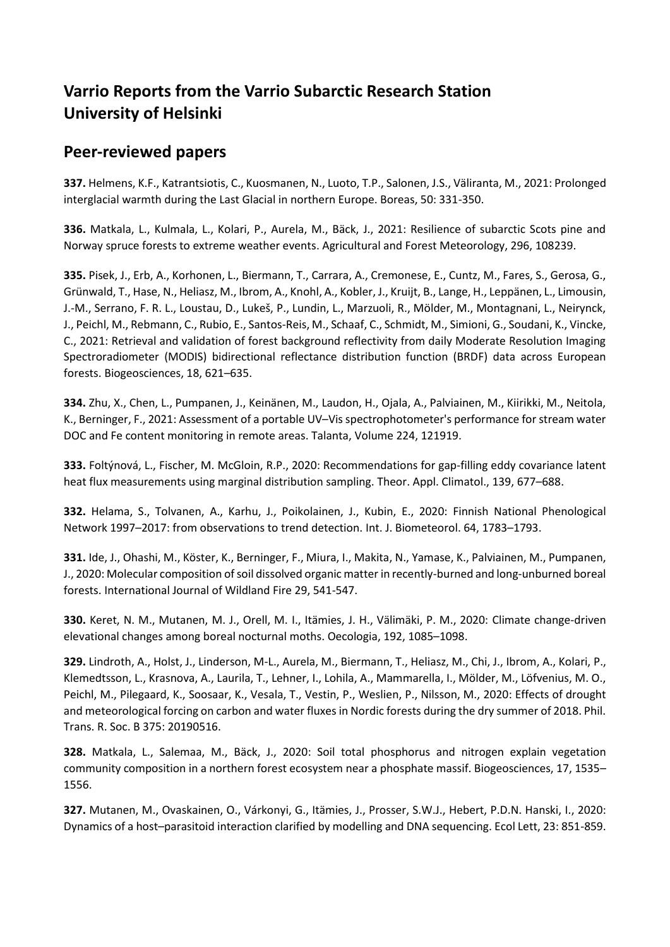## **Varrio Reports from the Varrio Subarctic Research Station University of Helsinki**

## **Peer-reviewed papers**

**337.** Helmens, K.F., Katrantsiotis, C., Kuosmanen, N., Luoto, T.P., Salonen, J.S., Väliranta, M., 2021: Prolonged interglacial warmth during the Last Glacial in northern Europe. Boreas, 50: 331-350.

**336.** Matkala, L., Kulmala, L., Kolari, P., Aurela, M., Bäck, J., 2021: Resilience of subarctic Scots pine and Norway spruce forests to extreme weather events. Agricultural and Forest Meteorology, 296, 108239.

**335.** Pisek, J., Erb, A., Korhonen, L., Biermann, T., Carrara, A., Cremonese, E., Cuntz, M., Fares, S., Gerosa, G., Grünwald, T., Hase, N., Heliasz, M., Ibrom, A., Knohl, A., Kobler, J., Kruijt, B., Lange, H., Leppänen, L., Limousin, J.-M., Serrano, F. R. L., Loustau, D., Lukeš, P., Lundin, L., Marzuoli, R., Mölder, M., Montagnani, L., Neirynck, J., Peichl, M., Rebmann, C., Rubio, E., Santos-Reis, M., Schaaf, C., Schmidt, M., Simioni, G., Soudani, K., Vincke, C., 2021: Retrieval and validation of forest background reflectivity from daily Moderate Resolution Imaging Spectroradiometer (MODIS) bidirectional reflectance distribution function (BRDF) data across European forests. Biogeosciences, 18, 621–635.

**334.** Zhu, X., Chen, L., Pumpanen, J., Keinänen, M., Laudon, H., Ojala, A., Palviainen, M., Kiirikki, M., Neitola, K., Berninger, F., 2021: Assessment of a portable UV–Vis spectrophotometer's performance for stream water DOC and Fe content monitoring in remote areas. Talanta, Volume 224, 121919.

**333.** Foltýnová, L., Fischer, M. McGloin, R.P., 2020: Recommendations for gap-filling eddy covariance latent heat flux measurements using marginal distribution sampling. Theor. Appl. Climatol., 139, 677–688.

**332.** Helama, S., Tolvanen, A., Karhu, J., Poikolainen, J., Kubin, E., 2020: Finnish National Phenological Network 1997–2017: from observations to trend detection. Int. J. Biometeorol. 64, 1783–1793.

**331.** Ide, J., Ohashi, M., Köster, K., Berninger, F., Miura, I., Makita, N., Yamase, K., Palviainen, M., Pumpanen, J., 2020: Molecular composition of soil dissolved organic matter in recently-burned and long-unburned boreal forests. International Journal of Wildland Fire 29, 541-547.

**330.** Keret, N. M., Mutanen, M. J., Orell, M. I., Itämies, J. H., Välimäki, P. M., 2020: Climate change-driven elevational changes among boreal nocturnal moths. Oecologia, 192, 1085–1098.

**329.** Lindroth, A., Holst, J., Linderson, M-L., Aurela, M., Biermann, T., Heliasz, M., Chi, J., Ibrom, A., Kolari, P., Klemedtsson, L., Krasnova, A., Laurila, T., Lehner, I., Lohila, A., Mammarella, I., Mölder, M., Löfvenius, M. O., Peichl, M., Pilegaard, K., Soosaar, K., Vesala, T., Vestin, P., Weslien, P., Nilsson, M., 2020: Effects of drought and meteorological forcing on carbon and water fluxes in Nordic forests during the dry summer of 2018. Phil. Trans. R. Soc. B 375: 20190516.

**328.** Matkala, L., Salemaa, M., Bäck, J., 2020: Soil total phosphorus and nitrogen explain vegetation community composition in a northern forest ecosystem near a phosphate massif. Biogeosciences, 17, 1535– 1556.

**327.** Mutanen, M., Ovaskainen, O., Várkonyi, G., Itämies, J., Prosser, S.W.J., Hebert, P.D.N. Hanski, I., 2020: Dynamics of a host–parasitoid interaction clarified by modelling and DNA sequencing. Ecol Lett, 23: 851-859.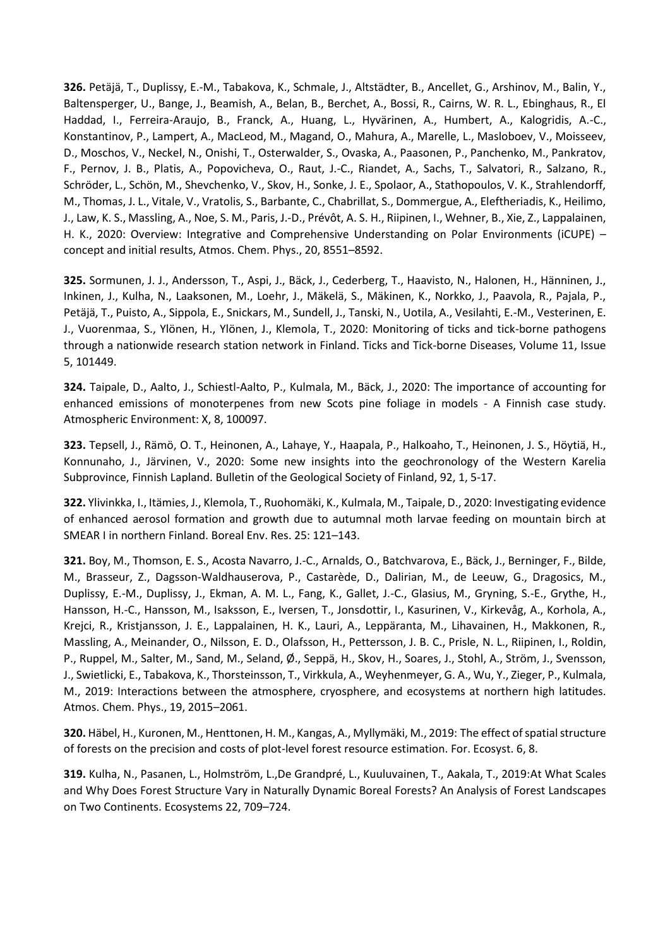**326.** Petäjä, T., Duplissy, E.-M., Tabakova, K., Schmale, J., Altstädter, B., Ancellet, G., Arshinov, M., Balin, Y., Baltensperger, U., Bange, J., Beamish, A., Belan, B., Berchet, A., Bossi, R., Cairns, W. R. L., Ebinghaus, R., El Haddad, I., Ferreira-Araujo, B., Franck, A., Huang, L., Hyvärinen, A., Humbert, A., Kalogridis, A.-C., Konstantinov, P., Lampert, A., MacLeod, M., Magand, O., Mahura, A., Marelle, L., Masloboev, V., Moisseev, D., Moschos, V., Neckel, N., Onishi, T., Osterwalder, S., Ovaska, A., Paasonen, P., Panchenko, M., Pankratov, F., Pernov, J. B., Platis, A., Popovicheva, O., Raut, J.-C., Riandet, A., Sachs, T., Salvatori, R., Salzano, R., Schröder, L., Schön, M., Shevchenko, V., Skov, H., Sonke, J. E., Spolaor, A., Stathopoulos, V. K., Strahlendorff, M., Thomas, J. L., Vitale, V., Vratolis, S., Barbante, C., Chabrillat, S., Dommergue, A., Eleftheriadis, K., Heilimo, J., Law, K. S., Massling, A., Noe, S. M., Paris, J.-D., Prévôt, A. S. H., Riipinen, I., Wehner, B., Xie, Z., Lappalainen, H. K., 2020: Overview: Integrative and Comprehensive Understanding on Polar Environments (iCUPE) – concept and initial results, Atmos. Chem. Phys., 20, 8551–8592.

**325.** Sormunen, J. J., Andersson, T., Aspi, J., Bäck, J., Cederberg, T., Haavisto, N., Halonen, H., Hänninen, J., Inkinen, J., Kulha, N., Laaksonen, M., Loehr, J., Mäkelä, S., Mäkinen, K., Norkko, J., Paavola, R., Pajala, P., Petäjä, T., Puisto, A., Sippola, E., Snickars, M., Sundell, J., Tanski, N., Uotila, A., Vesilahti, E.-M., Vesterinen, E. J., Vuorenmaa, S., Ylönen, H., Ylönen, J., Klemola, T., 2020: Monitoring of ticks and tick-borne pathogens through a nationwide research station network in Finland. Ticks and Tick-borne Diseases, Volume 11, Issue 5, 101449.

**324.** Taipale, D., Aalto, J., Schiestl-Aalto, P., Kulmala, M., Bäck, J., 2020: The importance of accounting for enhanced emissions of monoterpenes from new Scots pine foliage in models - A Finnish case study. Atmospheric Environment: X, 8, 100097.

**323.** Tepsell, J., Rämö, O. T., Heinonen, A., Lahaye, Y., Haapala, P., Halkoaho, T., Heinonen, J. S., Höytiä, H., Konnunaho, J., Järvinen, V., 2020: Some new insights into the geochronology of the Western Karelia Subprovince, Finnish Lapland. Bulletin of the Geological Society of Finland, 92, 1, 5-17.

**322.** Ylivinkka, I., Itämies, J., Klemola, T., Ruohomäki, K., Kulmala, M., Taipale, D., 2020: Investigating evidence of enhanced aerosol formation and growth due to autumnal moth larvae feeding on mountain birch at SMEAR I in northern Finland. Boreal Env. Res. 25: 121–143.

**321.** Boy, M., Thomson, E. S., Acosta Navarro, J.-C., Arnalds, O., Batchvarova, E., Bäck, J., Berninger, F., Bilde, M., Brasseur, Z., Dagsson-Waldhauserova, P., Castarède, D., Dalirian, M., de Leeuw, G., Dragosics, M., Duplissy, E.-M., Duplissy, J., Ekman, A. M. L., Fang, K., Gallet, J.-C., Glasius, M., Gryning, S.-E., Grythe, H., Hansson, H.-C., Hansson, M., Isaksson, E., Iversen, T., Jonsdottir, I., Kasurinen, V., Kirkevåg, A., Korhola, A., Krejci, R., Kristjansson, J. E., Lappalainen, H. K., Lauri, A., Leppäranta, M., Lihavainen, H., Makkonen, R., Massling, A., Meinander, O., Nilsson, E. D., Olafsson, H., Pettersson, J. B. C., Prisle, N. L., Riipinen, I., Roldin, P., Ruppel, M., Salter, M., Sand, M., Seland, Ø., Seppä, H., Skov, H., Soares, J., Stohl, A., Ström, J., Svensson, J., Swietlicki, E., Tabakova, K., Thorsteinsson, T., Virkkula, A., Weyhenmeyer, G. A., Wu, Y., Zieger, P., Kulmala, M., 2019: Interactions between the atmosphere, cryosphere, and ecosystems at northern high latitudes. Atmos. Chem. Phys., 19, 2015–2061.

**320.** Häbel, H., Kuronen, M., Henttonen, H. M., Kangas, A., Myllymäki, M., 2019: The effect of spatial structure of forests on the precision and costs of plot-level forest resource estimation. For. Ecosyst. 6, 8.

**319.** Kulha, N., Pasanen, L., Holmström, L.,De Grandpré, L., Kuuluvainen, T., Aakala, T., 2019:At What Scales and Why Does Forest Structure Vary in Naturally Dynamic Boreal Forests? An Analysis of Forest Landscapes on Two Continents. Ecosystems 22, 709–724.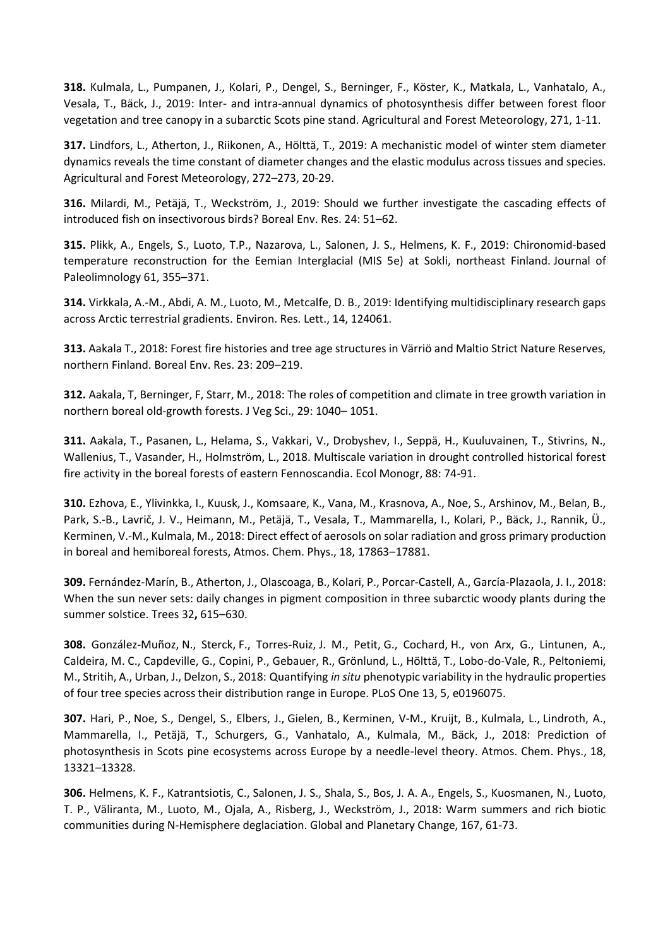**318.** Kulmala, L., Pumpanen, J., Kolari, P., Dengel, S., Berninger, F., Köster, K., Matkala, L., Vanhatalo, A., Vesala, T., Bäck, J., 2019: Inter- and intra-annual dynamics of photosynthesis differ between forest floor vegetation and tree canopy in a subarctic Scots pine stand. Agricultural and Forest Meteorology, 271, 1-11.

**317.** Lindfors, L., Atherton, J., Riikonen, A., Hölttä, T., 2019: A mechanistic model of winter stem diameter dynamics reveals the time constant of diameter changes and the elastic modulus across tissues and species. Agricultural and Forest Meteorology, 272–273, 20-29.

**316.** Milardi, M., Petäjä, T., Weckström, J., 2019: Should we further investigate the cascading effects of introduced fish on insectivorous birds? Boreal Env. Res. 24: 51–62.

**315.** Plikk, A., Engels, S., Luoto, T.P., Nazarova, L., Salonen, J. S., Helmens, K. F., 2019: Chironomid-based temperature reconstruction for the Eemian Interglacial (MIS 5e) at Sokli, northeast Finland. Journal of Paleolimnology 61, 355–371.

**314.** Virkkala, A.-M., Abdi, A. M., Luoto, M., Metcalfe, D. B., 2019: Identifying multidisciplinary research gaps across Arctic terrestrial gradients. Environ. Res. Lett., 14, 124061.

**313.** Aakala T., 2018: Forest fire histories and tree age structures in Värriö and Maltio Strict Nature Reserves, northern Finland. Boreal Env. Res. 23: 209–219.

**312.** Aakala, T, Berninger, F, Starr, M., 2018: The roles of competition and climate in tree growth variation in northern boreal old‐growth forests. J Veg Sci., 29: 1040– 1051.

**311.** Aakala, T., Pasanen, L., Helama, S., Vakkari, V., Drobyshev, I., Seppä, H., Kuuluvainen, T., Stivrins, N., Wallenius, T., Vasander, H., Holmström, L., 2018. Multiscale variation in drought controlled historical forest fire activity in the boreal forests of eastern Fennoscandia. Ecol Monogr, 88: 74-91.

**310.** Ezhova, E., Ylivinkka, I., Kuusk, J., Komsaare, K., Vana, M., Krasnova, A., Noe, S., Arshinov, M., Belan, B., Park, S.-B., Lavrič, J. V., Heimann, M., Petäjä, T., Vesala, T., Mammarella, I., Kolari, P., Bäck, J., Rannik, Ü., Kerminen, V.-M., Kulmala, M., 2018: Direct effect of aerosols on solar radiation and gross primary production in boreal and hemiboreal forests, Atmos. Chem. Phys., 18, 17863–17881.

**309.** Fernández-Marín, B., Atherton, J., Olascoaga, B., Kolari, P., Porcar-Castell, A., García-Plazaola, J. I., 2018: When the sun never sets: daily changes in pigment composition in three subarctic woody plants during the summer solstice. Trees 32**,** 615–630.

**308.** González-Muñoz, N., Sterck, F., Torres-Ruiz, J. M., Petit, G., Cochard, H., von Arx, G., Lintunen, A., Caldeira, M. C., Capdeville, G., Copini, P., Gebauer, R., Grönlund, L., Hölttä, T., Lobo-do-Vale, R., Peltoniemi, M., Stritih, A., Urban, J., Delzon, S., 2018: Quantifying *in situ* phenotypic variability in the hydraulic properties of four tree species across their distribution range in Europe. PLoS One 13, 5, e0196075.

**307.** Hari, P., Noe, S., Dengel, S., Elbers, J., Gielen, B., Kerminen, V-M., Kruijt, B., Kulmala, L., Lindroth, A., Mammarella, I., Petäjä, T., Schurgers, G., Vanhatalo, A., Kulmala, M., Bäck, J., 2018: Prediction of photosynthesis in Scots pine ecosystems across Europe by a needle-level theory. Atmos. Chem. Phys., 18, 13321–13328.

**306.** Helmens, K. F., Katrantsiotis, C., Salonen, J. S., Shala, S., Bos, J. A. A., Engels, S., Kuosmanen, N., Luoto, T. P., Väliranta, M., Luoto, M., Ojala, A., Risberg, J., Weckström, J., 2018: Warm summers and rich biotic communities during N-Hemisphere deglaciation. Global and Planetary Change, 167, 61-73.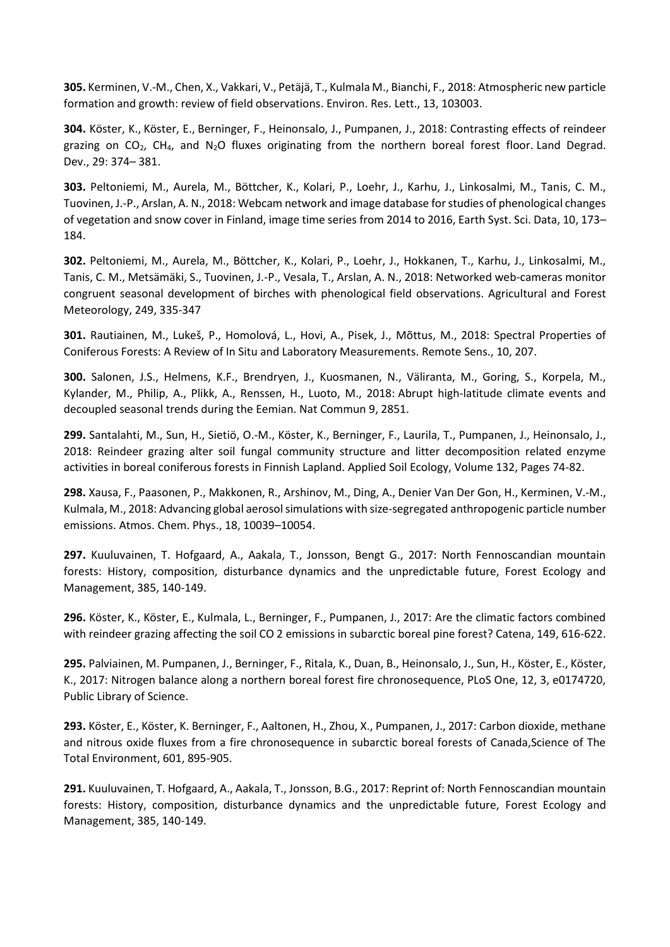**305.** Kerminen, V.-M., Chen, X., Vakkari, V., Petäjä, T., Kulmala M., Bianchi, F., 2018: Atmospheric new particle formation and growth: review of field observations. Environ. Res. Lett., 13, 103003.

**304.** Köster, K., Köster, E., Berninger, F., Heinonsalo, J., Pumpanen, J., 2018: Contrasting effects of reindeer grazing on  $CO<sub>2</sub>$ , CH<sub>4</sub>, and N<sub>2</sub>O fluxes originating from the northern boreal forest floor. Land Degrad. Dev., 29: 374– 381.

**303.** Peltoniemi, M., Aurela, M., Böttcher, K., Kolari, P., Loehr, J., Karhu, J., Linkosalmi, M., Tanis, C. M., Tuovinen, J.-P., Arslan, A. N., 2018: Webcam network and image database for studies of phenological changes of vegetation and snow cover in Finland, image time series from 2014 to 2016, Earth Syst. Sci. Data, 10, 173– 184.

**302.** Peltoniemi, M., Aurela, M., Böttcher, K., Kolari, P., Loehr, J., Hokkanen, T., Karhu, J., Linkosalmi, M., Tanis, C. M., Metsämäki, S., Tuovinen, J.-P., Vesala, T., Arslan, A. N., 2018: Networked web-cameras monitor congruent seasonal development of birches with phenological field observations. Agricultural and Forest Meteorology, 249, 335-347

**301.** Rautiainen, M., Lukeš, P., Homolová, L., Hovi, A., Pisek, J., Mõttus, M., 2018: Spectral Properties of Coniferous Forests: A Review of In Situ and Laboratory Measurements. Remote Sens., 10, 207.

**300.** Salonen, J.S., Helmens, K.F., Brendryen, J., Kuosmanen, N., Väliranta, M., Goring, S., Korpela, M., Kylander, M., Philip, A., Plikk, A., Renssen, H., Luoto, M., 2018: Abrupt high-latitude climate events and decoupled seasonal trends during the Eemian. Nat Commun 9, 2851.

**299.** Santalahti, M., Sun, H., Sietiö, O.-M., Köster, K., Berninger, F., Laurila, T., Pumpanen, J., Heinonsalo, J., 2018: Reindeer grazing alter soil fungal community structure and litter decomposition related enzyme activities in boreal coniferous forests in Finnish Lapland. Applied Soil Ecology, Volume 132, Pages 74-82.

**298.** Xausa, F., Paasonen, P., Makkonen, R., Arshinov, M., Ding, A., Denier Van Der Gon, H., Kerminen, V.-M., Kulmala, M., 2018: Advancing global aerosol simulations with size-segregated anthropogenic particle number emissions. Atmos. Chem. Phys., 18, 10039–10054.

**297.** Kuuluvainen, T. Hofgaard, A., Aakala, T., Jonsson, Bengt G., 2017: North Fennoscandian mountain forests: History, composition, disturbance dynamics and the unpredictable future, Forest Ecology and Management, 385, 140-149.

**296.** Köster, K., Köster, E., Kulmala, L., Berninger, F., Pumpanen, J., 2017: Are the climatic factors combined with reindeer grazing affecting the soil CO 2 emissions in subarctic boreal pine forest? Catena, 149, 616-622.

**295.** Palviainen, M. Pumpanen, J., Berninger, F., Ritala, K., Duan, B., Heinonsalo, J., Sun, H., Köster, E., Köster, K., 2017: Nitrogen balance along a northern boreal forest fire chronosequence, PLoS One, 12, 3, e0174720, Public Library of Science.

**293.** Köster, E., Köster, K. Berninger, F., Aaltonen, H., Zhou, X., Pumpanen, J., 2017: Carbon dioxide, methane and nitrous oxide fluxes from a fire chronosequence in subarctic boreal forests of Canada,Science of The Total Environment, 601, 895-905.

**291.** Kuuluvainen, T. Hofgaard, A., Aakala, T., Jonsson, B.G., 2017: Reprint of: North Fennoscandian mountain forests: History, composition, disturbance dynamics and the unpredictable future, Forest Ecology and Management, 385, 140-149.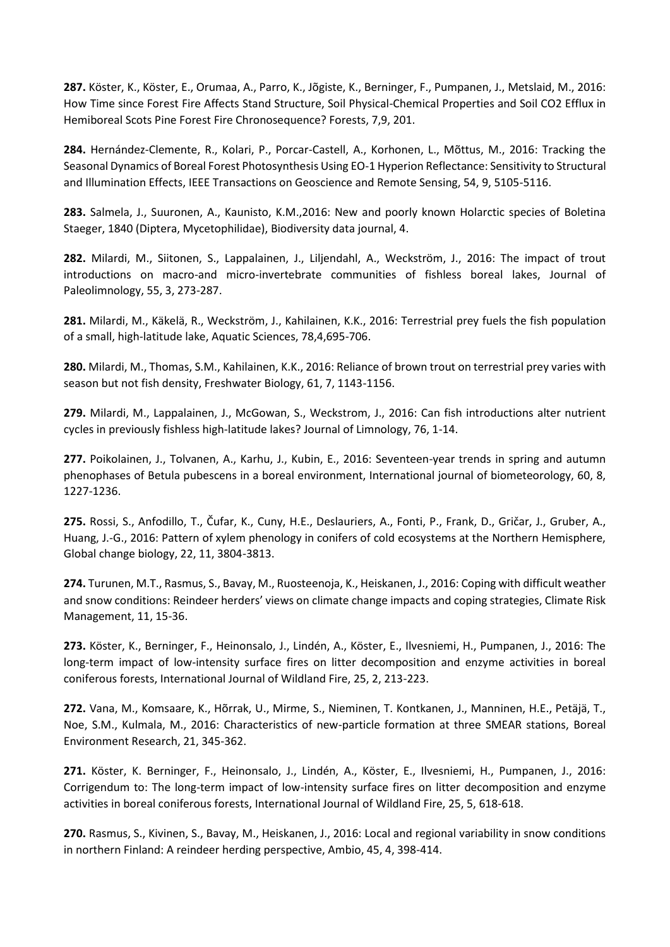**287.** Köster, K., Köster, E., Orumaa, A., Parro, K., Jõgiste, K., Berninger, F., Pumpanen, J., Metslaid, M., 2016: How Time since Forest Fire Affects Stand Structure, Soil Physical-Chemical Properties and Soil CO2 Efflux in Hemiboreal Scots Pine Forest Fire Chronosequence? Forests, 7,9, 201.

**284.** Hernández-Clemente, R., Kolari, P., Porcar-Castell, A., Korhonen, L., Mõttus, M., 2016: Tracking the Seasonal Dynamics of Boreal Forest Photosynthesis Using EO-1 Hyperion Reflectance: Sensitivity to Structural and Illumination Effects, IEEE Transactions on Geoscience and Remote Sensing, 54, 9, 5105-5116.

**283.** Salmela, J., Suuronen, A., Kaunisto, K.M.,2016: New and poorly known Holarctic species of Boletina Staeger, 1840 (Diptera, Mycetophilidae), Biodiversity data journal, 4.

**282.** Milardi, M., Siitonen, S., Lappalainen, J., Liljendahl, A., Weckström, J., 2016: The impact of trout introductions on macro-and micro-invertebrate communities of fishless boreal lakes, Journal of Paleolimnology, 55, 3, 273-287.

**281.** Milardi, M., Käkelä, R., Weckström, J., Kahilainen, K.K., 2016: Terrestrial prey fuels the fish population of a small, high-latitude lake, Aquatic Sciences, 78,4,695-706.

**280.** Milardi, M., Thomas, S.M., Kahilainen, K.K., 2016: Reliance of brown trout on terrestrial prey varies with season but not fish density, Freshwater Biology, 61, 7, 1143-1156.

**279.** Milardi, M., Lappalainen, J., McGowan, S., Weckstrom, J., 2016: Can fish introductions alter nutrient cycles in previously fishless high-latitude lakes? Journal of Limnology, 76, 1-14.

**277.** Poikolainen, J., Tolvanen, A., Karhu, J., Kubin, E., 2016: Seventeen-year trends in spring and autumn phenophases of Betula pubescens in a boreal environment, International journal of biometeorology, 60, 8, 1227-1236.

**275.** Rossi, S., Anfodillo, T., Čufar, K., Cuny, H.E., Deslauriers, A., Fonti, P., Frank, D., Gričar, J., Gruber, A., Huang, J.-G., 2016: Pattern of xylem phenology in conifers of cold ecosystems at the Northern Hemisphere, Global change biology, 22, 11, 3804-3813.

**274.** Turunen, M.T., Rasmus, S., Bavay, M., Ruosteenoja, K., Heiskanen, J., 2016: Coping with difficult weather and snow conditions: Reindeer herders' views on climate change impacts and coping strategies, Climate Risk Management, 11, 15-36.

**273.** Köster, K., Berninger, F., Heinonsalo, J., Lindén, A., Köster, E., Ilvesniemi, H., Pumpanen, J., 2016: The long-term impact of low-intensity surface fires on litter decomposition and enzyme activities in boreal coniferous forests, International Journal of Wildland Fire, 25, 2, 213-223.

**272.** Vana, M., Komsaare, K., Hõrrak, U., Mirme, S., Nieminen, T. Kontkanen, J., Manninen, H.E., Petäjä, T., Noe, S.M., Kulmala, M., 2016: Characteristics of new-particle formation at three SMEAR stations, Boreal Environment Research, 21, 345-362.

**271.** Köster, K. Berninger, F., Heinonsalo, J., Lindén, A., Köster, E., Ilvesniemi, H., Pumpanen, J., 2016: Corrigendum to: The long-term impact of low-intensity surface fires on litter decomposition and enzyme activities in boreal coniferous forests, International Journal of Wildland Fire, 25, 5, 618-618.

**270.** Rasmus, S., Kivinen, S., Bavay, M., Heiskanen, J., 2016: Local and regional variability in snow conditions in northern Finland: A reindeer herding perspective, Ambio, 45, 4, 398-414.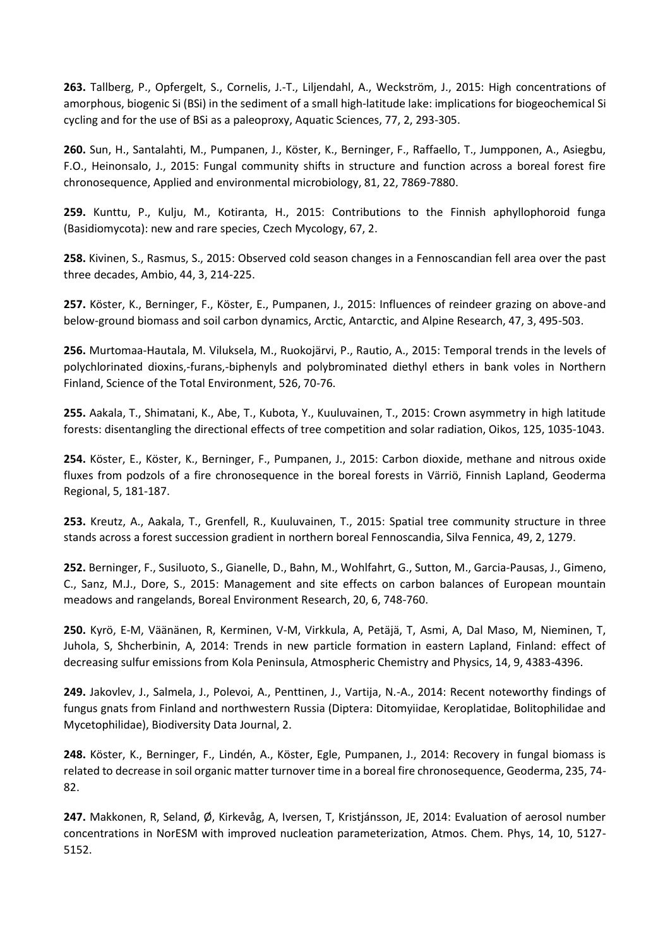**263.** Tallberg, P., Opfergelt, S., Cornelis, J.-T., Liljendahl, A., Weckström, J., 2015: High concentrations of amorphous, biogenic Si (BSi) in the sediment of a small high-latitude lake: implications for biogeochemical Si cycling and for the use of BSi as a paleoproxy, Aquatic Sciences, 77, 2, 293-305.

**260.** Sun, H., Santalahti, M., Pumpanen, J., Köster, K., Berninger, F., Raffaello, T., Jumpponen, A., Asiegbu, F.O., Heinonsalo, J., 2015: Fungal community shifts in structure and function across a boreal forest fire chronosequence, Applied and environmental microbiology, 81, 22, 7869-7880.

**259.** Kunttu, P., Kulju, M., Kotiranta, H., 2015: Contributions to the Finnish aphyllophoroid funga (Basidiomycota): new and rare species, Czech Mycology, 67, 2.

**258.** Kivinen, S., Rasmus, S., 2015: Observed cold season changes in a Fennoscandian fell area over the past three decades, Ambio, 44, 3, 214-225.

**257.** Köster, K., Berninger, F., Köster, E., Pumpanen, J., 2015: Influences of reindeer grazing on above-and below-ground biomass and soil carbon dynamics, Arctic, Antarctic, and Alpine Research, 47, 3, 495-503.

**256.** Murtomaa-Hautala, M. Viluksela, M., Ruokojärvi, P., Rautio, A., 2015: Temporal trends in the levels of polychlorinated dioxins,-furans,-biphenyls and polybrominated diethyl ethers in bank voles in Northern Finland, Science of the Total Environment, 526, 70-76.

**255.** Aakala, T., Shimatani, K., Abe, T., Kubota, Y., Kuuluvainen, T., 2015: Crown asymmetry in high latitude forests: disentangling the directional effects of tree competition and solar radiation, Oikos, 125, 1035-1043.

**254.** Köster, E., Köster, K., Berninger, F., Pumpanen, J., 2015: Carbon dioxide, methane and nitrous oxide fluxes from podzols of a fire chronosequence in the boreal forests in Värriö, Finnish Lapland, Geoderma Regional, 5, 181-187.

**253.** Kreutz, A., Aakala, T., Grenfell, R., Kuuluvainen, T., 2015: Spatial tree community structure in three stands across a forest succession gradient in northern boreal Fennoscandia, Silva Fennica, 49, 2, 1279.

**252.** Berninger, F., Susiluoto, S., Gianelle, D., Bahn, M., Wohlfahrt, G., Sutton, M., Garcia-Pausas, J., Gimeno, C., Sanz, M.J., Dore, S., 2015: Management and site effects on carbon balances of European mountain meadows and rangelands, Boreal Environment Research, 20, 6, 748-760.

**250.** Kyrö, E-M, Väänänen, R, Kerminen, V-M, Virkkula, A, Petäjä, T, Asmi, A, Dal Maso, M, Nieminen, T, Juhola, S, Shcherbinin, A, 2014: Trends in new particle formation in eastern Lapland, Finland: effect of decreasing sulfur emissions from Kola Peninsula, Atmospheric Chemistry and Physics, 14, 9, 4383-4396.

**249.** Jakovlev, J., Salmela, J., Polevoi, A., Penttinen, J., Vartija, N.-A., 2014: Recent noteworthy findings of fungus gnats from Finland and northwestern Russia (Diptera: Ditomyiidae, Keroplatidae, Bolitophilidae and Mycetophilidae), Biodiversity Data Journal, 2.

**248.** Köster, K., Berninger, F., Lindén, A., Köster, Egle, Pumpanen, J., 2014: Recovery in fungal biomass is related to decrease in soil organic matter turnover time in a boreal fire chronosequence, Geoderma, 235, 74- 82.

**247.** Makkonen, R, Seland, Ø, Kirkevåg, A, Iversen, T, Kristjánsson, JE, 2014: Evaluation of aerosol number concentrations in NorESM with improved nucleation parameterization, Atmos. Chem. Phys, 14, 10, 5127- 5152.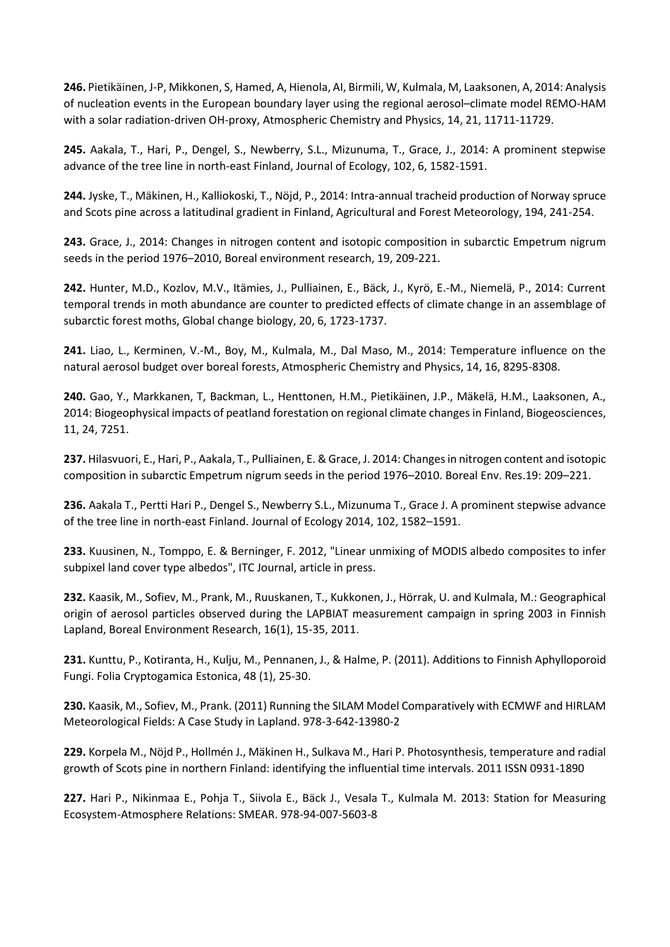**246.** Pietikäinen, J-P, Mikkonen, S, Hamed, A, Hienola, AI, Birmili, W, Kulmala, M, Laaksonen, A, 2014: Analysis of nucleation events in the European boundary layer using the regional aerosol–climate model REMO-HAM with a solar radiation-driven OH-proxy, Atmospheric Chemistry and Physics, 14, 21, 11711-11729.

**245.** Aakala, T., Hari, P., Dengel, S., Newberry, S.L., Mizunuma, T., Grace, J., 2014: A prominent stepwise advance of the tree line in north-east Finland, Journal of Ecology, 102, 6, 1582-1591.

**244.** Jyske, T., Mäkinen, H., Kalliokoski, T., Nöjd, P., 2014: Intra-annual tracheid production of Norway spruce and Scots pine across a latitudinal gradient in Finland, Agricultural and Forest Meteorology, 194, 241-254.

**243.** Grace, J., 2014: Changes in nitrogen content and isotopic composition in subarctic Empetrum nigrum seeds in the period 1976–2010, Boreal environment research, 19, 209-221.

**242.** Hunter, M.D., Kozlov, M.V., Itämies, J., Pulliainen, E., Bäck, J., Kyrö, E.‐M., Niemelä, P., 2014: Current temporal trends in moth abundance are counter to predicted effects of climate change in an assemblage of subarctic forest moths, Global change biology, 20, 6, 1723-1737.

**241.** Liao, L., Kerminen, V.-M., Boy, M., Kulmala, M., Dal Maso, M., 2014: Temperature influence on the natural aerosol budget over boreal forests, Atmospheric Chemistry and Physics, 14, 16, 8295-8308.

**240.** Gao, Y., Markkanen, T, Backman, L., Henttonen, H.M., Pietikäinen, J.P., Mäkelä, H.M., Laaksonen, A., 2014: Biogeophysical impacts of peatland forestation on regional climate changes in Finland, Biogeosciences, 11, 24, 7251.

**237.** Hilasvuori, E., Hari, P., Aakala, T., Pulliainen, E. & Grace, J. 2014: Changes in nitrogen content and isotopic composition in subarctic Empetrum nigrum seeds in the period 1976–2010. Boreal Env. Res.19: 209–221.

**236.** Aakala T., Pertti Hari P., Dengel S., Newberry S.L., Mizunuma T., Grace J. A prominent stepwise advance of the tree line in north-east Finland. Journal of Ecology 2014, 102, 1582–1591.

**233.** Kuusinen, N., Tomppo, E. & Berninger, F. 2012, "Linear unmixing of MODIS albedo composites to infer subpixel land cover type albedos", ITC Journal, article in press.

**232.** Kaasik, M., Sofiev, M., Prank, M., Ruuskanen, T., Kukkonen, J., Hörrak, U. and Kulmala, M.: Geographical origin of aerosol particles observed during the LAPBIAT measurement campaign in spring 2003 in Finnish Lapland, Boreal Environment Research, 16(1), 15-35, 2011.

**231.** Kunttu, P., Kotiranta, H., Kulju, M., Pennanen, J., & Halme, P. (2011). Additions to Finnish Aphylloporoid Fungi. Folia Cryptogamica Estonica, 48 (1), 25-30.

**230.** Kaasik, M., Sofiev, M., Prank. (2011) Running the SILAM Model Comparatively with ECMWF and HIRLAM Meteorological Fields: A Case Study in Lapland. 978-3-642-13980-2

**229.** Korpela M., Nöjd P., Hollmén J., Mäkinen H., Sulkava M., Hari P. Photosynthesis, temperature and radial growth of Scots pine in northern Finland: identifying the influential time intervals. 2011 ISSN 0931-1890

**227.** Hari P., Nikinmaa E., Pohja T., Siivola E., Bäck J., Vesala T., Kulmala M. 2013: Station for Measuring Ecosystem-Atmosphere Relations: SMEAR. 978-94-007-5603-8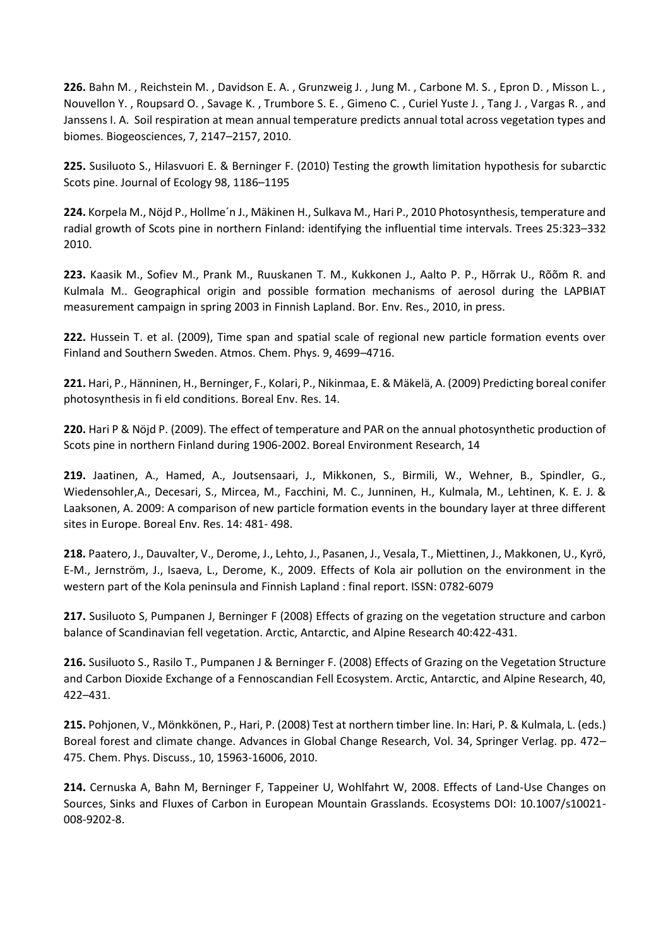**226.** Bahn M. , Reichstein M. , Davidson E. A. , Grunzweig J. , Jung M. , Carbone M. S. , Epron D. , Misson L. , Nouvellon Y. , Roupsard O. , Savage K. , Trumbore S. E. , Gimeno C. , Curiel Yuste J. , Tang J. , Vargas R. , and Janssens I. A. Soil respiration at mean annual temperature predicts annual total across vegetation types and biomes. Biogeosciences, 7, 2147–2157, 2010.

**225.** Susiluoto S., Hilasvuori E. & Berninger F. (2010) Testing the growth limitation hypothesis for subarctic Scots pine. Journal of Ecology 98, 1186–1195

**224.** Korpela M., Nöjd P., Hollme´n J., Mäkinen H., Sulkava M., Hari P., 2010 Photosynthesis, temperature and radial growth of Scots pine in northern Finland: identifying the influential time intervals. Trees 25:323–332 2010.

**223.** Kaasik M., Sofiev M., Prank M., Ruuskanen T. M., Kukkonen J., Aalto P. P., Hõrrak U., Rõõm R. and Kulmala M.. Geographical origin and possible formation mechanisms of aerosol during the LAPBIAT measurement campaign in spring 2003 in Finnish Lapland. Bor. Env. Res., 2010, in press.

**222.** Hussein T. et al. (2009), Time span and spatial scale of regional new particle formation events over Finland and Southern Sweden. Atmos. Chem. Phys. 9, 4699–4716.

**221.** Hari, P., Hänninen, H., Berninger, F., Kolari, P., Nikinmaa, E. & Mäkelä, A. (2009) Predicting boreal conifer photosynthesis in fi eld conditions. Boreal Env. Res. 14.

**220.** Hari P & Nöjd P. (2009). The effect of temperature and PAR on the annual photosynthetic production of Scots pine in northern Finland during 1906-2002. Boreal Environment Research, 14

**219.** Jaatinen, A., Hamed, A., Joutsensaari, J., Mikkonen, S., Birmili, W., Wehner, B., Spindler, G., Wiedensohler,A., Decesari, S., Mircea, M., Facchini, M. C., Junninen, H., Kulmala, M., Lehtinen, K. E. J. & Laaksonen, A. 2009: A comparison of new particle formation events in the boundary layer at three different sites in Europe. Boreal Env. Res. 14: 481- 498.

**218.** Paatero, J., Dauvalter, V., Derome, J., Lehto, J., Pasanen, J., Vesala, T., Miettinen, J., Makkonen, U., Kyrö, E-M., Jernström, J., Isaeva, L., Derome, K., 2009. Effects of Kola air pollution on the environment in the western part of the Kola peninsula and Finnish Lapland : final report. ISSN: 0782-6079

**217.** Susiluoto S, Pumpanen J, Berninger F (2008) Effects of grazing on the vegetation structure and carbon balance of Scandinavian fell vegetation. Arctic, Antarctic, and Alpine Research 40:422-431.

**216.** Susiluoto S., Rasilo T., Pumpanen J & Berninger F. (2008) Effects of Grazing on the Vegetation Structure and Carbon Dioxide Exchange of a Fennoscandian Fell Ecosystem. Arctic, Antarctic, and Alpine Research, 40, 422–431.

**215.** Pohjonen, V., Mönkkönen, P., Hari, P. (2008) Test at northern timber line. In: Hari, P. & Kulmala, L. (eds.) Boreal forest and climate change. Advances in Global Change Research, Vol. 34, Springer Verlag. pp. 472– 475. Chem. Phys. Discuss., 10, 15963-16006, 2010.

**214.** Cernuska A, Bahn M, Berninger F, Tappeiner U, Wohlfahrt W, 2008. Effects of Land-Use Changes on Sources, Sinks and Fluxes of Carbon in European Mountain Grasslands. Ecosystems DOI: 10.1007/s10021- 008-9202-8.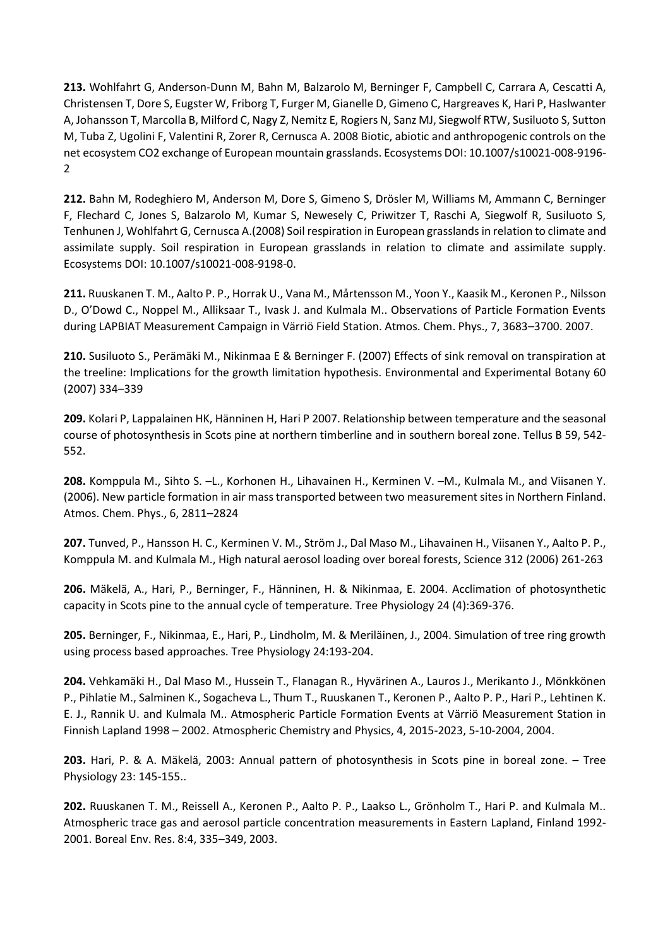**213.** Wohlfahrt G, Anderson-Dunn M, Bahn M, Balzarolo M, Berninger F, Campbell C, Carrara A, Cescatti A, Christensen T, Dore S, Eugster W, Friborg T, Furger M, Gianelle D, Gimeno C, Hargreaves K, Hari P, Haslwanter A, Johansson T, Marcolla B, Milford C, Nagy Z, Nemitz E, Rogiers N, Sanz MJ, Siegwolf RTW, Susiluoto S, Sutton M, Tuba Z, Ugolini F, Valentini R, Zorer R, Cernusca A. 2008 Biotic, abiotic and anthropogenic controls on the net ecosystem CO2 exchange of European mountain grasslands. Ecosystems DOI: 10.1007/s10021-008-9196- 2

**212.** Bahn M, Rodeghiero M, Anderson M, Dore S, Gimeno S, Drösler M, Williams M, Ammann C, Berninger F, Flechard C, Jones S, Balzarolo M, Kumar S, Newesely C, Priwitzer T, Raschi A, Siegwolf R, Susiluoto S, Tenhunen J, Wohlfahrt G, Cernusca A.(2008) Soil respiration in European grasslands in relation to climate and assimilate supply. Soil respiration in European grasslands in relation to climate and assimilate supply. Ecosystems DOI: 10.1007/s10021-008-9198-0.

**211.** Ruuskanen T. M., Aalto P. P., Horrak U., Vana M., Mårtensson M., Yoon Y., Kaasik M., Keronen P., Nilsson D., O'Dowd C., Noppel M., Alliksaar T., Ivask J. and Kulmala M.. Observations of Particle Formation Events during LAPBIAT Measurement Campaign in Värriö Field Station. Atmos. Chem. Phys., 7, 3683–3700. 2007.

**210.** Susiluoto S., Perämäki M., Nikinmaa E & Berninger F. (2007) Effects of sink removal on transpiration at the treeline: Implications for the growth limitation hypothesis. Environmental and Experimental Botany 60 (2007) 334–339

**209.** Kolari P, Lappalainen HK, Hänninen H, Hari P 2007. Relationship between temperature and the seasonal course of photosynthesis in Scots pine at northern timberline and in southern boreal zone. Tellus B 59, 542- 552.

**208.** Komppula M., Sihto S. –L., Korhonen H., Lihavainen H., Kerminen V. –M., Kulmala M., and Viisanen Y. (2006). New particle formation in air mass transported between two measurement sites in Northern Finland. Atmos. Chem. Phys., 6, 2811–2824

**207.** Tunved, P., Hansson H. C., Kerminen V. M., Ström J., Dal Maso M., Lihavainen H., Viisanen Y., Aalto P. P., Komppula M. and Kulmala M., High natural aerosol loading over boreal forests, Science 312 (2006) 261-263

**206.** Mäkelä, A., Hari, P., Berninger, F., Hänninen, H. & Nikinmaa, E. 2004. Acclimation of photosynthetic capacity in Scots pine to the annual cycle of temperature. Tree Physiology 24 (4):369-376.

**205.** Berninger, F., Nikinmaa, E., Hari, P., Lindholm, M. & Meriläinen, J., 2004. Simulation of tree ring growth using process based approaches. Tree Physiology 24:193-204.

**204.** Vehkamäki H., Dal Maso M., Hussein T., Flanagan R., Hyvärinen A., Lauros J., Merikanto J., Mönkkönen P., Pihlatie M., Salminen K., Sogacheva L., Thum T., Ruuskanen T., Keronen P., Aalto P. P., Hari P., Lehtinen K. E. J., Rannik U. and Kulmala M.. Atmospheric Particle Formation Events at Värriö Measurement Station in Finnish Lapland 1998 – 2002. Atmospheric Chemistry and Physics, 4, 2015-2023, 5-10-2004, 2004.

**203.** Hari, P. & A. Mäkelä, 2003: Annual pattern of photosynthesis in Scots pine in boreal zone. – Tree Physiology 23: 145-155..

**202.** Ruuskanen T. M., Reissell A., Keronen P., Aalto P. P., Laakso L., Grönholm T., Hari P. and Kulmala M.. Atmospheric trace gas and aerosol particle concentration measurements in Eastern Lapland, Finland 1992- 2001. Boreal Env. Res. 8:4, 335–349, 2003.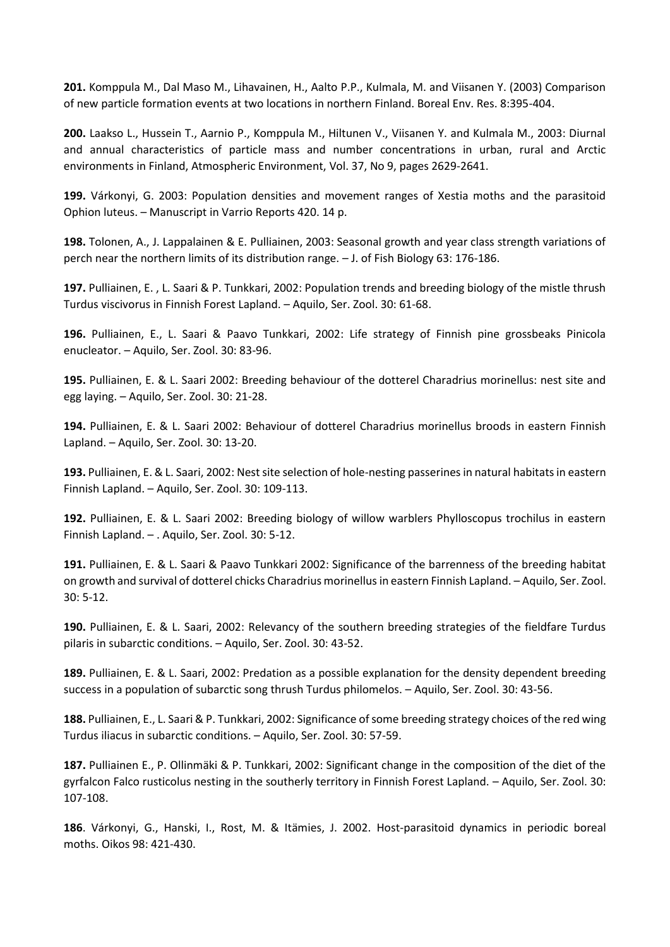**201.** Komppula M., Dal Maso M., Lihavainen, H., Aalto P.P., Kulmala, M. and Viisanen Y. (2003) Comparison of new particle formation events at two locations in northern Finland. Boreal Env. Res. 8:395-404.

**200.** Laakso L., Hussein T., Aarnio P., Komppula M., Hiltunen V., Viisanen Y. and Kulmala M., 2003: Diurnal and annual characteristics of particle mass and number concentrations in urban, rural and Arctic environments in Finland, Atmospheric Environment, Vol. 37, No 9, pages 2629-2641.

**199.** Várkonyi, G. 2003: Population densities and movement ranges of Xestia moths and the parasitoid Ophion luteus. – Manuscript in Varrio Reports 420. 14 p.

**198.** Tolonen, A., J. Lappalainen & E. Pulliainen, 2003: Seasonal growth and year class strength variations of perch near the northern limits of its distribution range. – J. of Fish Biology 63: 176-186.

**197.** Pulliainen, E. , L. Saari & P. Tunkkari, 2002: Population trends and breeding biology of the mistle thrush Turdus viscivorus in Finnish Forest Lapland. – Aquilo, Ser. Zool. 30: 61-68.

**196.** Pulliainen, E., L. Saari & Paavo Tunkkari, 2002: Life strategy of Finnish pine grossbeaks Pinicola enucleator. – Aquilo, Ser. Zool. 30: 83-96.

**195.** Pulliainen, E. & L. Saari 2002: Breeding behaviour of the dotterel Charadrius morinellus: nest site and egg laying. – Aquilo, Ser. Zool. 30: 21-28.

**194.** Pulliainen, E. & L. Saari 2002: Behaviour of dotterel Charadrius morinellus broods in eastern Finnish Lapland. – Aquilo, Ser. Zool. 30: 13-20.

**193.** Pulliainen, E. & L. Saari, 2002: Nest site selection of hole-nesting passerines in natural habitats in eastern Finnish Lapland. – Aquilo, Ser. Zool. 30: 109-113.

**192.** Pulliainen, E. & L. Saari 2002: Breeding biology of willow warblers Phylloscopus trochilus in eastern Finnish Lapland. – . Aquilo, Ser. Zool. 30: 5-12.

**191.** Pulliainen, E. & L. Saari & Paavo Tunkkari 2002: Significance of the barrenness of the breeding habitat on growth and survival of dotterel chicks Charadrius morinellus in eastern Finnish Lapland. – Aquilo, Ser. Zool. 30: 5-12.

**190.** Pulliainen, E. & L. Saari, 2002: Relevancy of the southern breeding strategies of the fieldfare Turdus pilaris in subarctic conditions. – Aquilo, Ser. Zool. 30: 43-52.

**189.** Pulliainen, E. & L. Saari, 2002: Predation as a possible explanation for the density dependent breeding success in a population of subarctic song thrush Turdus philomelos. – Aquilo, Ser. Zool. 30: 43-56.

**188.** Pulliainen, E., L. Saari & P. Tunkkari, 2002: Significance of some breeding strategy choices of the red wing Turdus iliacus in subarctic conditions. – Aquilo, Ser. Zool. 30: 57-59.

**187.** Pulliainen E., P. Ollinmäki & P. Tunkkari, 2002: Significant change in the composition of the diet of the gyrfalcon Falco rusticolus nesting in the southerly territory in Finnish Forest Lapland. – Aquilo, Ser. Zool. 30: 107-108.

**186**. Várkonyi, G., Hanski, I., Rost, M. & Itämies, J. 2002. Host-parasitoid dynamics in periodic boreal moths. Oikos 98: 421-430.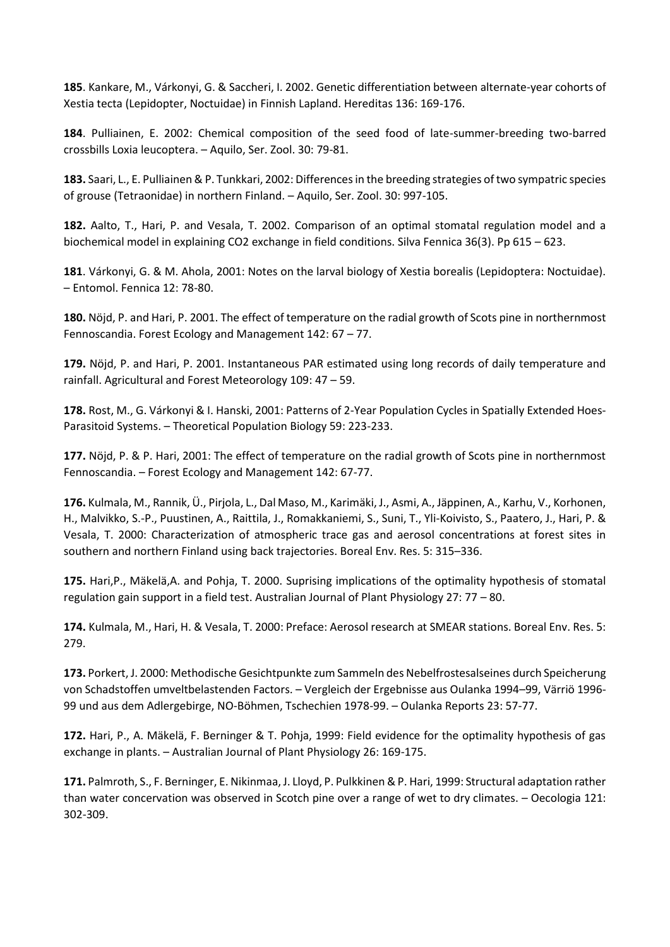**185**. Kankare, M., Várkonyi, G. & Saccheri, I. 2002. Genetic differentiation between alternate-year cohorts of Xestia tecta (Lepidopter, Noctuidae) in Finnish Lapland. Hereditas 136: 169-176.

**184**. Pulliainen, E. 2002: Chemical composition of the seed food of late-summer-breeding two-barred crossbills Loxia leucoptera. – Aquilo, Ser. Zool. 30: 79-81.

**183.** Saari, L., E. Pulliainen & P. Tunkkari, 2002: Differences in the breeding strategies of two sympatric species of grouse (Tetraonidae) in northern Finland. – Aquilo, Ser. Zool. 30: 997-105.

**182.** Aalto, T., Hari, P. and Vesala, T. 2002. Comparison of an optimal stomatal regulation model and a biochemical model in explaining CO2 exchange in field conditions. Silva Fennica 36(3). Pp 615 – 623.

**181**. Várkonyi, G. & M. Ahola, 2001: Notes on the larval biology of Xestia borealis (Lepidoptera: Noctuidae). – Entomol. Fennica 12: 78-80.

**180.** Nöjd, P. and Hari, P. 2001. The effect of temperature on the radial growth of Scots pine in northernmost Fennoscandia. Forest Ecology and Management 142: 67 – 77.

**179.** Nöjd, P. and Hari, P. 2001. Instantaneous PAR estimated using long records of daily temperature and rainfall. Agricultural and Forest Meteorology 109: 47 – 59.

**178.** Rost, M., G. Várkonyi & I. Hanski, 2001: Patterns of 2-Year Population Cycles in Spatially Extended Hoes-Parasitoid Systems. – Theoretical Population Biology 59: 223-233.

**177.** Nöjd, P. & P. Hari, 2001: The effect of temperature on the radial growth of Scots pine in northernmost Fennoscandia. – Forest Ecology and Management 142: 67-77.

**176.** Kulmala, M., Rannik, Ü., Pirjola, L., Dal Maso, M., Karimäki, J., Asmi, A., Jäppinen, A., Karhu, V., Korhonen, H., Malvikko, S.-P., Puustinen, A., Raittila, J., Romakkaniemi, S., Suni, T., Yli-Koivisto, S., Paatero, J., Hari, P. & Vesala, T. 2000: Characterization of atmospheric trace gas and aerosol concentrations at forest sites in southern and northern Finland using back trajectories. Boreal Env. Res. 5: 315–336.

**175.** Hari,P., Mäkelä,A. and Pohja, T. 2000. Suprising implications of the optimality hypothesis of stomatal regulation gain support in a field test. Australian Journal of Plant Physiology 27: 77 – 80.

**174.** Kulmala, M., Hari, H. & Vesala, T. 2000: Preface: Aerosol research at SMEAR stations. Boreal Env. Res. 5: 279.

**173.** Porkert, J. 2000: Methodische Gesichtpunkte zum Sammeln des Nebelfrostesalseines durch Speicherung von Schadstoffen umveltbelastenden Factors. – Vergleich der Ergebnisse aus Oulanka 1994–99, Värriö 1996- 99 und aus dem Adlergebirge, NO-Böhmen, Tschechien 1978-99. – Oulanka Reports 23: 57-77.

**172.** Hari, P., A. Mäkelä, F. Berninger & T. Pohja, 1999: Field evidence for the optimality hypothesis of gas exchange in plants. – Australian Journal of Plant Physiology 26: 169-175.

**171.** Palmroth, S., F. Berninger, E. Nikinmaa, J. Lloyd, P. Pulkkinen & P. Hari, 1999: Structural adaptation rather than water concervation was observed in Scotch pine over a range of wet to dry climates. – Oecologia 121: 302-309.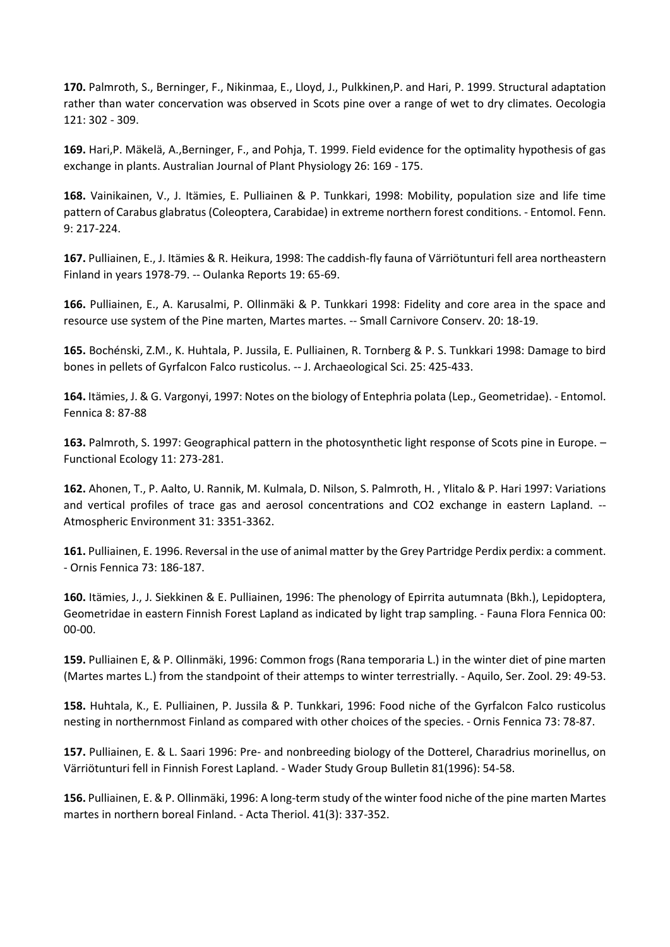**170.** Palmroth, S., Berninger, F., Nikinmaa, E., Lloyd, J., Pulkkinen,P. and Hari, P. 1999. Structural adaptation rather than water concervation was observed in Scots pine over a range of wet to dry climates. Oecologia 121: 302 - 309.

**169.** Hari,P. Mäkelä, A.,Berninger, F., and Pohja, T. 1999. Field evidence for the optimality hypothesis of gas exchange in plants. Australian Journal of Plant Physiology 26: 169 - 175.

**168.** Vainikainen, V., J. Itämies, E. Pulliainen & P. Tunkkari, 1998: Mobility, population size and life time pattern of Carabus glabratus (Coleoptera, Carabidae) in extreme northern forest conditions. - Entomol. Fenn. 9: 217-224.

**167.** Pulliainen, E., J. Itämies & R. Heikura, 1998: The caddish-fly fauna of Värriötunturi fell area northeastern Finland in years 1978-79. -- Oulanka Reports 19: 65-69.

**166.** Pulliainen, E., A. Karusalmi, P. Ollinmäki & P. Tunkkari 1998: Fidelity and core area in the space and resource use system of the Pine marten, Martes martes. -- Small Carnivore Conserv. 20: 18-19.

**165.** Bochénski, Z.M., K. Huhtala, P. Jussila, E. Pulliainen, R. Tornberg & P. S. Tunkkari 1998: Damage to bird bones in pellets of Gyrfalcon Falco rusticolus. -- J. Archaeological Sci. 25: 425-433.

**164.** Itämies, J. & G. Vargonyi, 1997: Notes on the biology of Entephria polata (Lep., Geometridae). - Entomol. Fennica 8: 87-88

**163.** Palmroth, S. 1997: Geographical pattern in the photosynthetic light response of Scots pine in Europe. – Functional Ecology 11: 273-281.

**162.** Ahonen, T., P. Aalto, U. Rannik, M. Kulmala, D. Nilson, S. Palmroth, H. , Ylitalo & P. Hari 1997: Variations and vertical profiles of trace gas and aerosol concentrations and CO2 exchange in eastern Lapland. -- Atmospheric Environment 31: 3351-3362.

**161.** Pulliainen, E. 1996. Reversal in the use of animal matter by the Grey Partridge Perdix perdix: a comment. - Ornis Fennica 73: 186-187.

**160.** Itämies, J., J. Siekkinen & E. Pulliainen, 1996: The phenology of Epirrita autumnata (Bkh.), Lepidoptera, Geometridae in eastern Finnish Forest Lapland as indicated by light trap sampling. - Fauna Flora Fennica 00: 00-00.

**159.** Pulliainen E, & P. Ollinmäki, 1996: Common frogs (Rana temporaria L.) in the winter diet of pine marten (Martes martes L.) from the standpoint of their attemps to winter terrestrially. - Aquilo, Ser. Zool. 29: 49-53.

**158.** Huhtala, K., E. Pulliainen, P. Jussila & P. Tunkkari, 1996: Food niche of the Gyrfalcon Falco rusticolus nesting in northernmost Finland as compared with other choices of the species. - Ornis Fennica 73: 78-87.

**157.** Pulliainen, E. & L. Saari 1996: Pre- and nonbreeding biology of the Dotterel, Charadrius morinellus, on Värriötunturi fell in Finnish Forest Lapland. - Wader Study Group Bulletin 81(1996): 54-58.

**156.** Pulliainen, E. & P. Ollinmäki, 1996: A long-term study of the winter food niche of the pine marten Martes martes in northern boreal Finland. - Acta Theriol. 41(3): 337-352.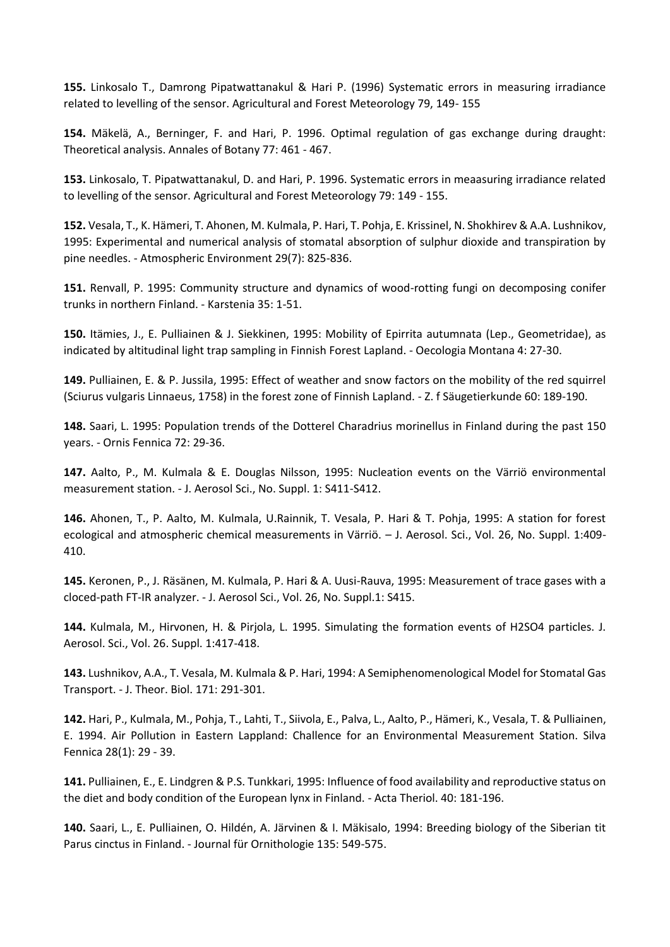**155.** Linkosalo T., Damrong Pipatwattanakul & Hari P. (1996) Systematic errors in measuring irradiance related to levelling of the sensor. Agricultural and Forest Meteorology 79, 149- 155

**154.** Mäkelä, A., Berninger, F. and Hari, P. 1996. Optimal regulation of gas exchange during draught: Theoretical analysis. Annales of Botany 77: 461 - 467.

**153.** Linkosalo, T. Pipatwattanakul, D. and Hari, P. 1996. Systematic errors in meaasuring irradiance related to levelling of the sensor. Agricultural and Forest Meteorology 79: 149 - 155.

**152.** Vesala, T., K. Hämeri, T. Ahonen, M. Kulmala, P. Hari, T. Pohja, E. Krissinel, N. Shokhirev & A.A. Lushnikov, 1995: Experimental and numerical analysis of stomatal absorption of sulphur dioxide and transpiration by pine needles. - Atmospheric Environment 29(7): 825-836.

**151.** Renvall, P. 1995: Community structure and dynamics of wood-rotting fungi on decomposing conifer trunks in northern Finland. - Karstenia 35: 1-51.

**150.** Itämies, J., E. Pulliainen & J. Siekkinen, 1995: Mobility of Epirrita autumnata (Lep., Geometridae), as indicated by altitudinal light trap sampling in Finnish Forest Lapland. - Oecologia Montana 4: 27-30.

**149.** Pulliainen, E. & P. Jussila, 1995: Effect of weather and snow factors on the mobility of the red squirrel (Sciurus vulgaris Linnaeus, 1758) in the forest zone of Finnish Lapland. - Z. f Säugetierkunde 60: 189-190.

**148.** Saari, L. 1995: Population trends of the Dotterel Charadrius morinellus in Finland during the past 150 years. - Ornis Fennica 72: 29-36.

**147.** Aalto, P., M. Kulmala & E. Douglas Nilsson, 1995: Nucleation events on the Värriö environmental measurement station. - J. Aerosol Sci., No. Suppl. 1: S411-S412.

**146.** Ahonen, T., P. Aalto, M. Kulmala, U.Rainnik, T. Vesala, P. Hari & T. Pohja, 1995: A station for forest ecological and atmospheric chemical measurements in Värriö. – J. Aerosol. Sci., Vol. 26, No. Suppl. 1:409- 410.

**145.** Keronen, P., J. Räsänen, M. Kulmala, P. Hari & A. Uusi-Rauva, 1995: Measurement of trace gases with a cloced-path FT-IR analyzer. - J. Aerosol Sci., Vol. 26, No. Suppl.1: S415.

**144.** Kulmala, M., Hirvonen, H. & Pirjola, L. 1995. Simulating the formation events of H2SO4 particles. J. Aerosol. Sci., Vol. 26. Suppl. 1:417-418.

**143.** Lushnikov, A.A., T. Vesala, M. Kulmala & P. Hari, 1994: A Semiphenomenological Model for Stomatal Gas Transport. - J. Theor. Biol. 171: 291-301.

**142.** Hari, P., Kulmala, M., Pohja, T., Lahti, T., Siivola, E., Palva, L., Aalto, P., Hämeri, K., Vesala, T. & Pulliainen, E. 1994. Air Pollution in Eastern Lappland: Challence for an Environmental Measurement Station. Silva Fennica 28(1): 29 - 39.

**141.** Pulliainen, E., E. Lindgren & P.S. Tunkkari, 1995: Influence of food availability and reproductive status on the diet and body condition of the European lynx in Finland. - Acta Theriol. 40: 181-196.

**140.** Saari, L., E. Pulliainen, O. Hildén, A. Järvinen & I. Mäkisalo, 1994: Breeding biology of the Siberian tit Parus cinctus in Finland. - Journal für Ornithologie 135: 549-575.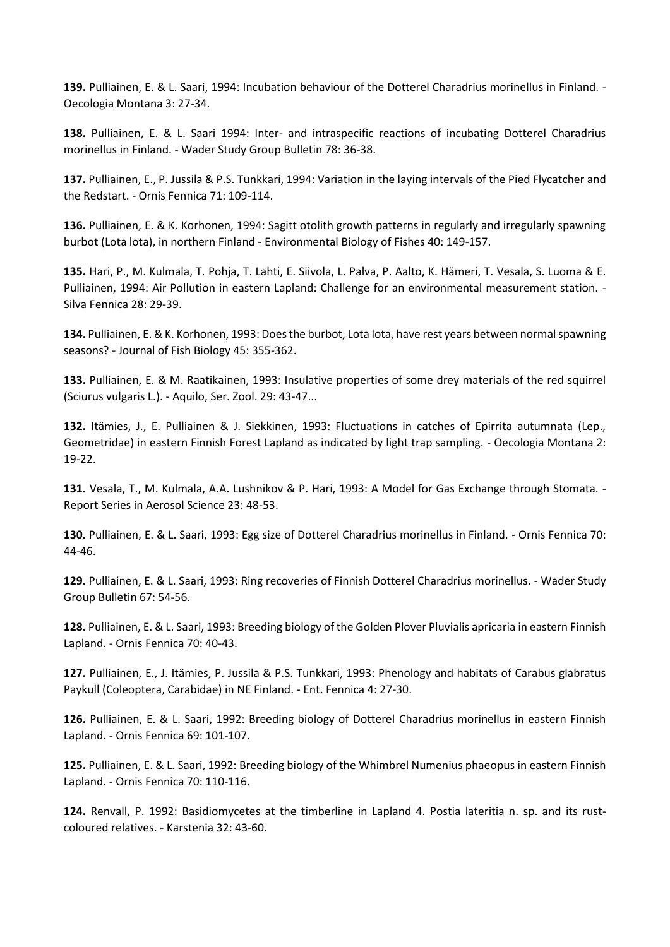**139.** Pulliainen, E. & L. Saari, 1994: Incubation behaviour of the Dotterel Charadrius morinellus in Finland. - Oecologia Montana 3: 27-34.

**138.** Pulliainen, E. & L. Saari 1994: Inter- and intraspecific reactions of incubating Dotterel Charadrius morinellus in Finland. - Wader Study Group Bulletin 78: 36-38.

**137.** Pulliainen, E., P. Jussila & P.S. Tunkkari, 1994: Variation in the laying intervals of the Pied Flycatcher and the Redstart. - Ornis Fennica 71: 109-114.

**136.** Pulliainen, E. & K. Korhonen, 1994: Sagitt otolith growth patterns in regularly and irregularly spawning burbot (Lota lota), in northern Finland - Environmental Biology of Fishes 40: 149-157.

**135.** Hari, P., M. Kulmala, T. Pohja, T. Lahti, E. Siivola, L. Palva, P. Aalto, K. Hämeri, T. Vesala, S. Luoma & E. Pulliainen, 1994: Air Pollution in eastern Lapland: Challenge for an environmental measurement station. -Silva Fennica 28: 29-39.

**134.** Pulliainen, E. & K. Korhonen, 1993: Does the burbot, Lota lota, have rest years between normal spawning seasons? - Journal of Fish Biology 45: 355-362.

**133.** Pulliainen, E. & M. Raatikainen, 1993: Insulative properties of some drey materials of the red squirrel (Sciurus vulgaris L.). - Aquilo, Ser. Zool. 29: 43-47...

**132.** Itämies, J., E. Pulliainen & J. Siekkinen, 1993: Fluctuations in catches of Epirrita autumnata (Lep., Geometridae) in eastern Finnish Forest Lapland as indicated by light trap sampling. - Oecologia Montana 2: 19-22.

**131.** Vesala, T., M. Kulmala, A.A. Lushnikov & P. Hari, 1993: A Model for Gas Exchange through Stomata. - Report Series in Aerosol Science 23: 48-53.

**130.** Pulliainen, E. & L. Saari, 1993: Egg size of Dotterel Charadrius morinellus in Finland. - Ornis Fennica 70: 44-46.

**129.** Pulliainen, E. & L. Saari, 1993: Ring recoveries of Finnish Dotterel Charadrius morinellus. - Wader Study Group Bulletin 67: 54-56.

**128.** Pulliainen, E. & L. Saari, 1993: Breeding biology of the Golden Plover Pluvialis apricaria in eastern Finnish Lapland. - Ornis Fennica 70: 40-43.

**127.** Pulliainen, E., J. Itämies, P. Jussila & P.S. Tunkkari, 1993: Phenology and habitats of Carabus glabratus Paykull (Coleoptera, Carabidae) in NE Finland. - Ent. Fennica 4: 27-30.

**126.** Pulliainen, E. & L. Saari, 1992: Breeding biology of Dotterel Charadrius morinellus in eastern Finnish Lapland. - Ornis Fennica 69: 101-107.

**125.** Pulliainen, E. & L. Saari, 1992: Breeding biology of the Whimbrel Numenius phaeopus in eastern Finnish Lapland. - Ornis Fennica 70: 110-116.

**124.** Renvall, P. 1992: Basidiomycetes at the timberline in Lapland 4. Postia lateritia n. sp. and its rustcoloured relatives. - Karstenia 32: 43-60.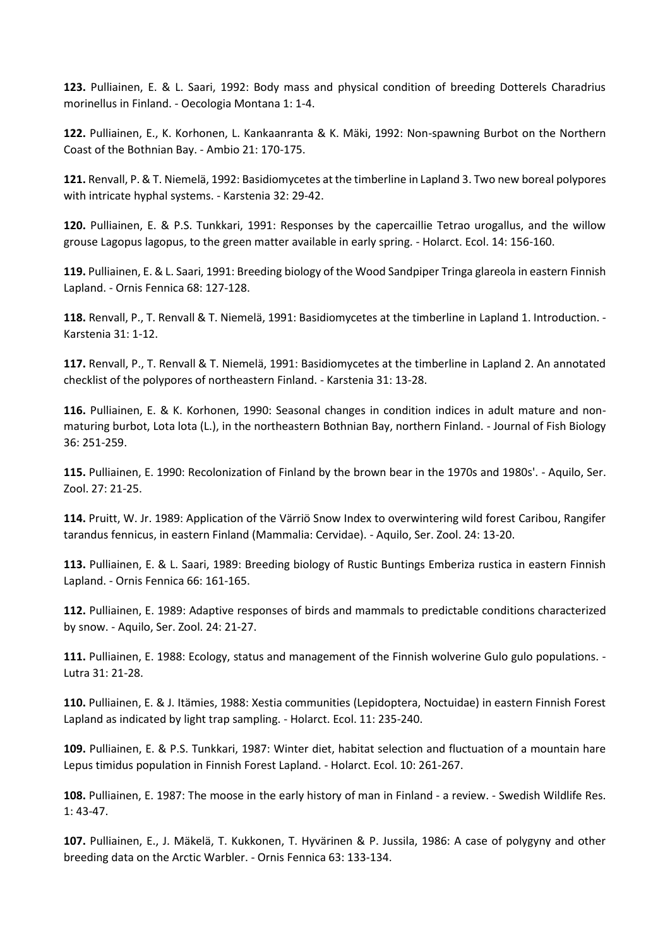**123.** Pulliainen, E. & L. Saari, 1992: Body mass and physical condition of breeding Dotterels Charadrius morinellus in Finland. - Oecologia Montana 1: 1-4.

**122.** Pulliainen, E., K. Korhonen, L. Kankaanranta & K. Mäki, 1992: Non-spawning Burbot on the Northern Coast of the Bothnian Bay. - Ambio 21: 170-175.

**121.** Renvall, P. & T. Niemelä, 1992: Basidiomycetes at the timberline in Lapland 3. Two new boreal polypores with intricate hyphal systems. - Karstenia 32: 29-42.

**120.** Pulliainen, E. & P.S. Tunkkari, 1991: Responses by the capercaillie Tetrao urogallus, and the willow grouse Lagopus lagopus, to the green matter available in early spring. - Holarct. Ecol. 14: 156-160.

**119.** Pulliainen, E. & L. Saari, 1991: Breeding biology of the Wood Sandpiper Tringa glareola in eastern Finnish Lapland. - Ornis Fennica 68: 127-128.

**118.** Renvall, P., T. Renvall & T. Niemelä, 1991: Basidiomycetes at the timberline in Lapland 1. Introduction. - Karstenia 31: 1-12.

**117.** Renvall, P., T. Renvall & T. Niemelä, 1991: Basidiomycetes at the timberline in Lapland 2. An annotated checklist of the polypores of northeastern Finland. - Karstenia 31: 13-28.

**116.** Pulliainen, E. & K. Korhonen, 1990: Seasonal changes in condition indices in adult mature and nonmaturing burbot, Lota lota (L.), in the northeastern Bothnian Bay, northern Finland. - Journal of Fish Biology 36: 251-259.

**115.** Pulliainen, E. 1990: Recolonization of Finland by the brown bear in the 1970s and 1980s'. - Aquilo, Ser. Zool. 27: 21-25.

**114.** Pruitt, W. Jr. 1989: Application of the Värriö Snow Index to overwintering wild forest Caribou, Rangifer tarandus fennicus, in eastern Finland (Mammalia: Cervidae). - Aquilo, Ser. Zool. 24: 13-20.

**113.** Pulliainen, E. & L. Saari, 1989: Breeding biology of Rustic Buntings Emberiza rustica in eastern Finnish Lapland. - Ornis Fennica 66: 161-165.

**112.** Pulliainen, E. 1989: Adaptive responses of birds and mammals to predictable conditions characterized by snow. - Aquilo, Ser. Zool. 24: 21-27.

**111.** Pulliainen, E. 1988: Ecology, status and management of the Finnish wolverine Gulo gulo populations. - Lutra 31: 21-28.

**110.** Pulliainen, E. & J. Itämies, 1988: Xestia communities (Lepidoptera, Noctuidae) in eastern Finnish Forest Lapland as indicated by light trap sampling. - Holarct. Ecol. 11: 235-240.

**109.** Pulliainen, E. & P.S. Tunkkari, 1987: Winter diet, habitat selection and fluctuation of a mountain hare Lepus timidus population in Finnish Forest Lapland. - Holarct. Ecol. 10: 261-267.

**108.** Pulliainen, E. 1987: The moose in the early history of man in Finland - a review. - Swedish Wildlife Res. 1: 43-47.

**107.** Pulliainen, E., J. Mäkelä, T. Kukkonen, T. Hyvärinen & P. Jussila, 1986: A case of polygyny and other breeding data on the Arctic Warbler. - Ornis Fennica 63: 133-134.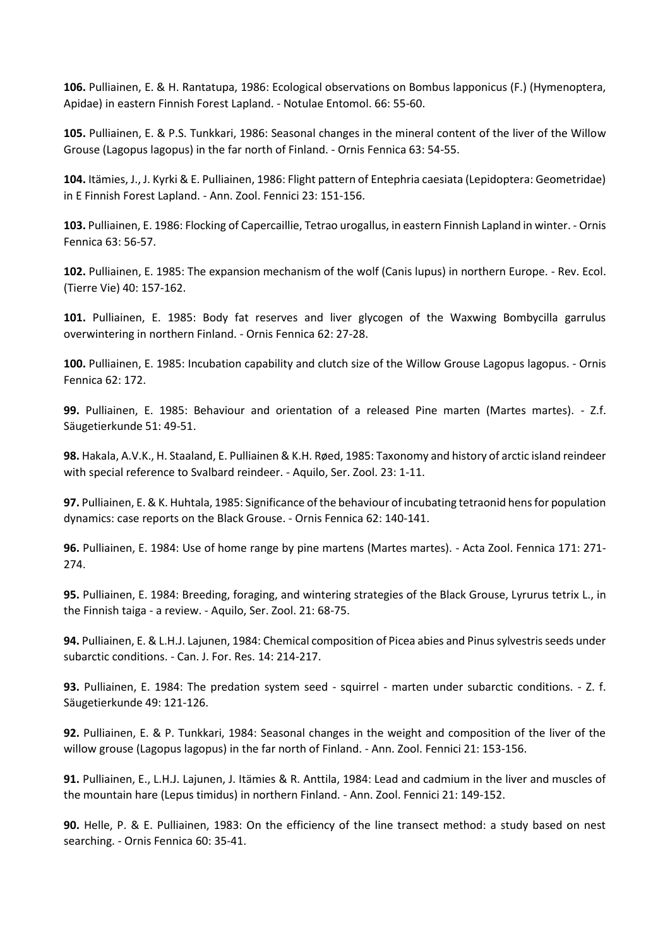**106.** Pulliainen, E. & H. Rantatupa, 1986: Ecological observations on Bombus lapponicus (F.) (Hymenoptera, Apidae) in eastern Finnish Forest Lapland. - Notulae Entomol. 66: 55-60.

**105.** Pulliainen, E. & P.S. Tunkkari, 1986: Seasonal changes in the mineral content of the liver of the Willow Grouse (Lagopus lagopus) in the far north of Finland. - Ornis Fennica 63: 54-55.

**104.** Itämies, J., J. Kyrki & E. Pulliainen, 1986: Flight pattern of Entephria caesiata (Lepidoptera: Geometridae) in E Finnish Forest Lapland. - Ann. Zool. Fennici 23: 151-156.

**103.** Pulliainen, E. 1986: Flocking of Capercaillie, Tetrao urogallus, in eastern Finnish Lapland in winter. - Ornis Fennica 63: 56-57.

**102.** Pulliainen, E. 1985: The expansion mechanism of the wolf (Canis lupus) in northern Europe. - Rev. Ecol. (Tierre Vie) 40: 157-162.

**101.** Pulliainen, E. 1985: Body fat reserves and liver glycogen of the Waxwing Bombycilla garrulus overwintering in northern Finland. - Ornis Fennica 62: 27-28.

**100.** Pulliainen, E. 1985: Incubation capability and clutch size of the Willow Grouse Lagopus lagopus. - Ornis Fennica 62: 172.

**99.** Pulliainen, E. 1985: Behaviour and orientation of a released Pine marten (Martes martes). - Z.f. Säugetierkunde 51: 49-51.

**98.** Hakala, A.V.K., H. Staaland, E. Pulliainen & K.H. Røed, 1985: Taxonomy and history of arctic island reindeer with special reference to Svalbard reindeer. - Aquilo, Ser. Zool. 23: 1-11.

**97.** Pulliainen, E. & K. Huhtala, 1985: Significance of the behaviour of incubating tetraonid hens for population dynamics: case reports on the Black Grouse. - Ornis Fennica 62: 140-141.

**96.** Pulliainen, E. 1984: Use of home range by pine martens (Martes martes). - Acta Zool. Fennica 171: 271- 274.

**95.** Pulliainen, E. 1984: Breeding, foraging, and wintering strategies of the Black Grouse, Lyrurus tetrix L., in the Finnish taiga - a review. - Aquilo, Ser. Zool. 21: 68-75.

**94.** Pulliainen, E. & L.H.J. Lajunen, 1984: Chemical composition of Picea abies and Pinus sylvestris seeds under subarctic conditions. - Can. J. For. Res. 14: 214-217.

**93.** Pulliainen, E. 1984: The predation system seed - squirrel - marten under subarctic conditions. - Z. f. Säugetierkunde 49: 121-126.

**92.** Pulliainen, E. & P. Tunkkari, 1984: Seasonal changes in the weight and composition of the liver of the willow grouse (Lagopus lagopus) in the far north of Finland. - Ann. Zool. Fennici 21: 153-156.

**91.** Pulliainen, E., L.H.J. Lajunen, J. Itämies & R. Anttila, 1984: Lead and cadmium in the liver and muscles of the mountain hare (Lepus timidus) in northern Finland. - Ann. Zool. Fennici 21: 149-152.

**90.** Helle, P. & E. Pulliainen, 1983: On the efficiency of the line transect method: a study based on nest searching. - Ornis Fennica 60: 35-41.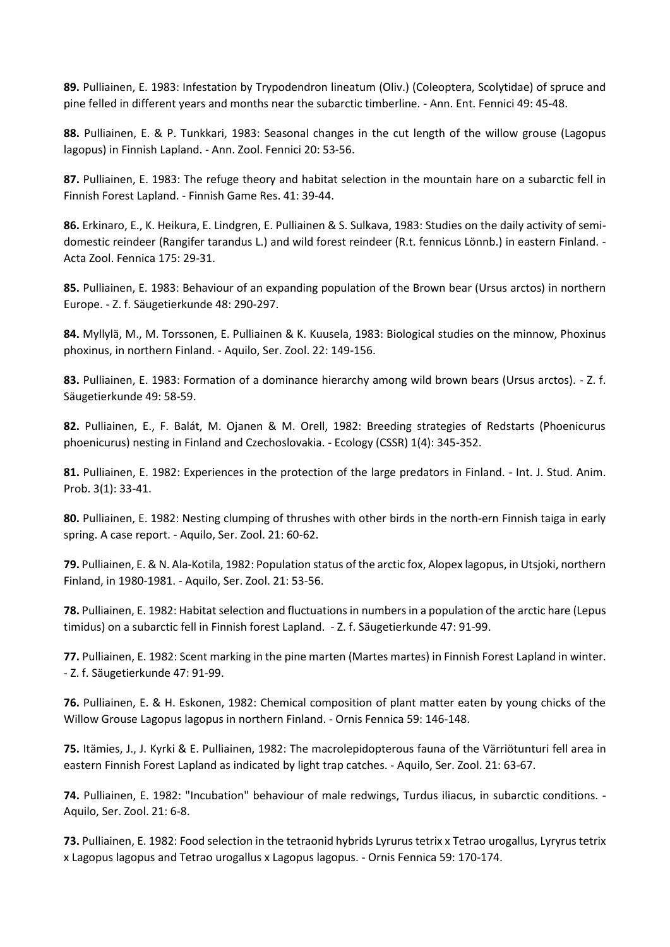**89.** Pulliainen, E. 1983: Infestation by Trypodendron lineatum (Oliv.) (Coleoptera, Scolytidae) of spruce and pine felled in different years and months near the subarctic timberline. - Ann. Ent. Fennici 49: 45-48.

**88.** Pulliainen, E. & P. Tunkkari, 1983: Seasonal changes in the cut length of the willow grouse (Lagopus lagopus) in Finnish Lapland. - Ann. Zool. Fennici 20: 53-56.

**87.** Pulliainen, E. 1983: The refuge theory and habitat selection in the mountain hare on a subarctic fell in Finnish Forest Lapland. - Finnish Game Res. 41: 39-44.

**86.** Erkinaro, E., K. Heikura, E. Lindgren, E. Pulliainen & S. Sulkava, 1983: Studies on the daily activity of semidomestic reindeer (Rangifer tarandus L.) and wild forest reindeer (R.t. fennicus Lönnb.) in eastern Finland. - Acta Zool. Fennica 175: 29-31.

**85.** Pulliainen, E. 1983: Behaviour of an expanding population of the Brown bear (Ursus arctos) in northern Europe. - Z. f. Säugetierkunde 48: 290-297.

**84.** Myllylä, M., M. Torssonen, E. Pulliainen & K. Kuusela, 1983: Biological studies on the minnow, Phoxinus phoxinus, in northern Finland. - Aquilo, Ser. Zool. 22: 149-156.

**83.** Pulliainen, E. 1983: Formation of a dominance hierarchy among wild brown bears (Ursus arctos). - Z. f. Säugetierkunde 49: 58-59.

**82.** Pulliainen, E., F. Balát, M. Ojanen & M. Orell, 1982: Breeding strategies of Redstarts (Phoenicurus phoenicurus) nesting in Finland and Czechoslovakia. - Ecology (CSSR) 1(4): 345-352.

**81.** Pulliainen, E. 1982: Experiences in the protection of the large predators in Finland. - Int. J. Stud. Anim. Prob. 3(1): 33-41.

**80.** Pulliainen, E. 1982: Nesting clumping of thrushes with other birds in the north-ern Finnish taiga in early spring. A case report. - Aquilo, Ser. Zool. 21: 60-62.

**79.** Pulliainen, E. & N. Ala-Kotila, 1982: Population status of the arctic fox, Alopex lagopus, in Utsjoki, northern Finland, in 1980-1981. - Aquilo, Ser. Zool. 21: 53-56.

**78.** Pulliainen, E. 1982: Habitat selection and fluctuations in numbers in a population of the arctic hare (Lepus timidus) on a subarctic fell in Finnish forest Lapland. - Z. f. Säugetierkunde 47: 91-99.

**77.** Pulliainen, E. 1982: Scent marking in the pine marten (Martes martes) in Finnish Forest Lapland in winter. - Z. f. Säugetierkunde 47: 91-99.

**76.** Pulliainen, E. & H. Eskonen, 1982: Chemical composition of plant matter eaten by young chicks of the Willow Grouse Lagopus lagopus in northern Finland. - Ornis Fennica 59: 146-148.

**75.** Itämies, J., J. Kyrki & E. Pulliainen, 1982: The macrolepidopterous fauna of the Värriötunturi fell area in eastern Finnish Forest Lapland as indicated by light trap catches. - Aquilo, Ser. Zool. 21: 63-67.

**74.** Pulliainen, E. 1982: "Incubation" behaviour of male redwings, Turdus iliacus, in subarctic conditions. - Aquilo, Ser. Zool. 21: 6-8.

**73.** Pulliainen, E. 1982: Food selection in the tetraonid hybrids Lyrurus tetrix x Tetrao urogallus, Lyryrus tetrix x Lagopus lagopus and Tetrao urogallus x Lagopus lagopus. - Ornis Fennica 59: 170-174.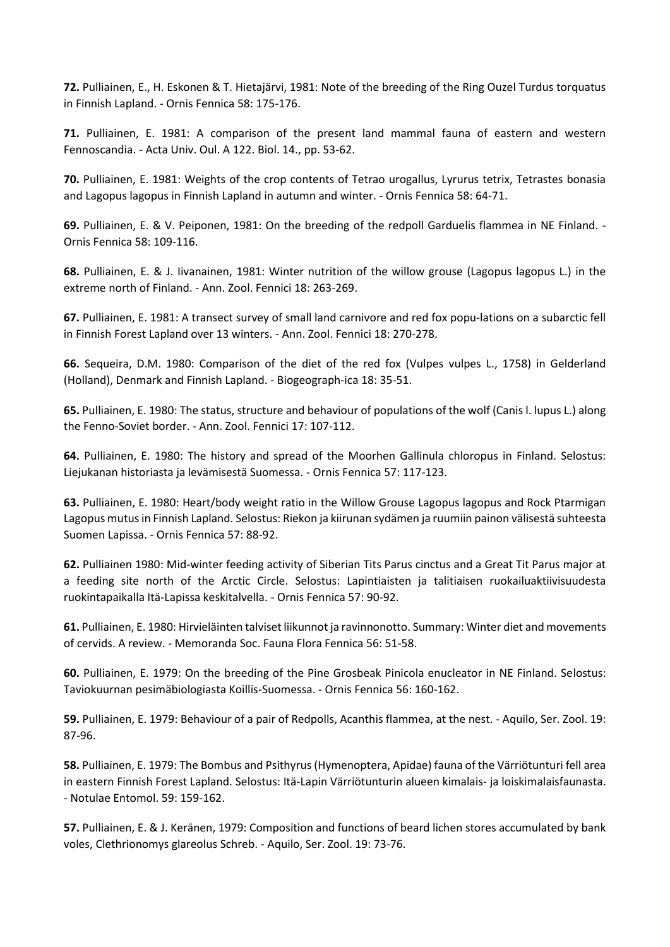**72.** Pulliainen, E., H. Eskonen & T. Hietajärvi, 1981: Note of the breeding of the Ring Ouzel Turdus torquatus in Finnish Lapland. - Ornis Fennica 58: 175-176.

**71.** Pulliainen, E. 1981: A comparison of the present land mammal fauna of eastern and western Fennoscandia. - Acta Univ. Oul. A 122. Biol. 14., pp. 53-62.

**70.** Pulliainen, E. 1981: Weights of the crop contents of Tetrao urogallus, Lyrurus tetrix, Tetrastes bonasia and Lagopus lagopus in Finnish Lapland in autumn and winter. - Ornis Fennica 58: 64-71.

**69.** Pulliainen, E. & V. Peiponen, 1981: On the breeding of the redpoll Garduelis flammea in NE Finland. - Ornis Fennica 58: 109-116.

**68.** Pulliainen, E. & J. Iivanainen, 1981: Winter nutrition of the willow grouse (Lagopus lagopus L.) in the extreme north of Finland. - Ann. Zool. Fennici 18: 263-269.

**67.** Pulliainen, E. 1981: A transect survey of small land carnivore and red fox popu-lations on a subarctic fell in Finnish Forest Lapland over 13 winters. - Ann. Zool. Fennici 18: 270-278.

**66.** Sequeira, D.M. 1980: Comparison of the diet of the red fox (Vulpes vulpes L., 1758) in Gelderland (Holland), Denmark and Finnish Lapland. - Biogeograph-ica 18: 35-51.

**65.** Pulliainen, E. 1980: The status, structure and behaviour of populations of the wolf (Canis l. lupus L.) along the Fenno-Soviet border. - Ann. Zool. Fennici 17: 107-112.

**64.** Pulliainen, E. 1980: The history and spread of the Moorhen Gallinula chloropus in Finland. Selostus: Liejukanan historiasta ja levämisestä Suomessa. - Ornis Fennica 57: 117-123.

**63.** Pulliainen, E. 1980: Heart/body weight ratio in the Willow Grouse Lagopus lagopus and Rock Ptarmigan Lagopus mutus in Finnish Lapland. Selostus: Riekon ja kiirunan sydämen ja ruumiin painon välisestä suhteesta Suomen Lapissa. - Ornis Fennica 57: 88-92.

**62.** Pulliainen 1980: Mid-winter feeding activity of Siberian Tits Parus cinctus and a Great Tit Parus major at a feeding site north of the Arctic Circle. Selostus: Lapintiaisten ja talitiaisen ruokailuaktiivisuudesta ruokintapaikalla Itä-Lapissa keskitalvella. - Ornis Fennica 57: 90-92.

**61.** Pulliainen, E. 1980: Hirvieläinten talviset liikunnot ja ravinnonotto. Summary: Winter diet and movements of cervids. A review. - Memoranda Soc. Fauna Flora Fennica 56: 51-58.

**60.** Pulliainen, E. 1979: On the breeding of the Pine Grosbeak Pinicola enucleator in NE Finland. Selostus: Taviokuurnan pesimäbiologiasta Koillis-Suomessa. - Ornis Fennica 56: 160-162.

**59.** Pulliainen, E. 1979: Behaviour of a pair of Redpolls, Acanthis flammea, at the nest. - Aquilo, Ser. Zool. 19: 87-96.

**58.** Pulliainen, E. 1979: The Bombus and Psithyrus (Hymenoptera, Apidae) fauna of the Värriötunturi fell area in eastern Finnish Forest Lapland. Selostus: Itä-Lapin Värriötunturin alueen kimalais- ja loiskimalaisfaunasta. - Notulae Entomol. 59: 159-162.

**57.** Pulliainen, E. & J. Keränen, 1979: Composition and functions of beard lichen stores accumulated by bank voles, Clethrionomys glareolus Schreb. - Aquilo, Ser. Zool. 19: 73-76.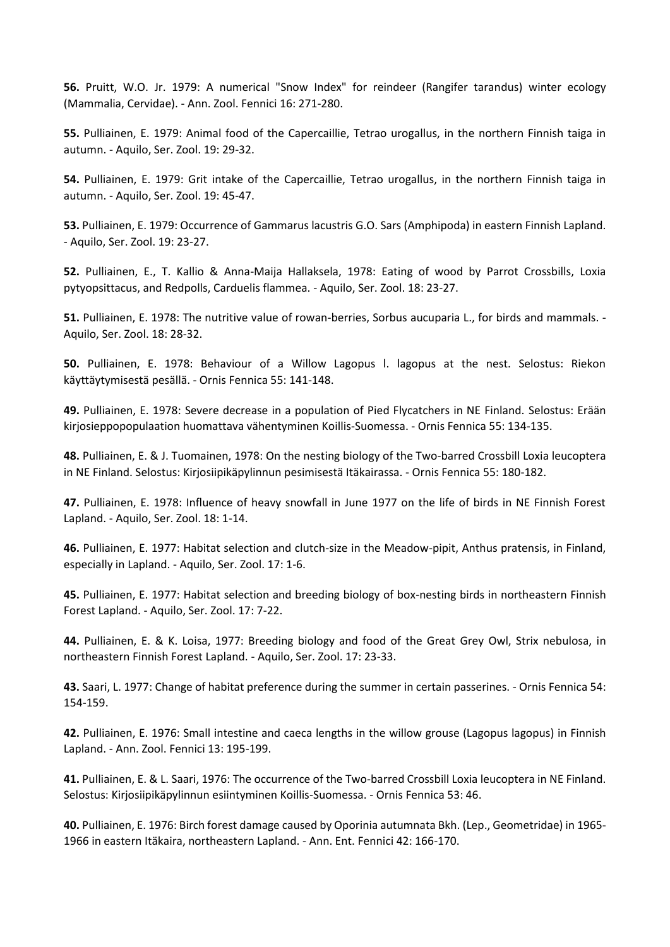**56.** Pruitt, W.O. Jr. 1979: A numerical "Snow Index" for reindeer (Rangifer tarandus) winter ecology (Mammalia, Cervidae). - Ann. Zool. Fennici 16: 271-280.

**55.** Pulliainen, E. 1979: Animal food of the Capercaillie, Tetrao urogallus, in the northern Finnish taiga in autumn. - Aquilo, Ser. Zool. 19: 29-32.

**54.** Pulliainen, E. 1979: Grit intake of the Capercaillie, Tetrao urogallus, in the northern Finnish taiga in autumn. - Aquilo, Ser. Zool. 19: 45-47.

**53.** Pulliainen, E. 1979: Occurrence of Gammarus lacustris G.O. Sars (Amphipoda) in eastern Finnish Lapland. - Aquilo, Ser. Zool. 19: 23-27.

**52.** Pulliainen, E., T. Kallio & Anna-Maija Hallaksela, 1978: Eating of wood by Parrot Crossbills, Loxia pytyopsittacus, and Redpolls, Carduelis flammea. - Aquilo, Ser. Zool. 18: 23-27.

**51.** Pulliainen, E. 1978: The nutritive value of rowan-berries, Sorbus aucuparia L., for birds and mammals. - Aquilo, Ser. Zool. 18: 28-32.

**50.** Pulliainen, E. 1978: Behaviour of a Willow Lagopus l. lagopus at the nest. Selostus: Riekon käyttäytymisestä pesällä. - Ornis Fennica 55: 141-148.

**49.** Pulliainen, E. 1978: Severe decrease in a population of Pied Flycatchers in NE Finland. Selostus: Erään kirjosieppopopulaation huomattava vähentyminen Koillis-Suomessa. - Ornis Fennica 55: 134-135.

**48.** Pulliainen, E. & J. Tuomainen, 1978: On the nesting biology of the Two-barred Crossbill Loxia leucoptera in NE Finland. Selostus: Kirjosiipikäpylinnun pesimisestä Itäkairassa. - Ornis Fennica 55: 180-182.

**47.** Pulliainen, E. 1978: Influence of heavy snowfall in June 1977 on the life of birds in NE Finnish Forest Lapland. - Aquilo, Ser. Zool. 18: 1-14.

**46.** Pulliainen, E. 1977: Habitat selection and clutch-size in the Meadow-pipit, Anthus pratensis, in Finland, especially in Lapland. - Aquilo, Ser. Zool. 17: 1-6.

**45.** Pulliainen, E. 1977: Habitat selection and breeding biology of box-nesting birds in northeastern Finnish Forest Lapland. - Aquilo, Ser. Zool. 17: 7-22.

**44.** Pulliainen, E. & K. Loisa, 1977: Breeding biology and food of the Great Grey Owl, Strix nebulosa, in northeastern Finnish Forest Lapland. - Aquilo, Ser. Zool. 17: 23-33.

**43.** Saari, L. 1977: Change of habitat preference during the summer in certain passerines. - Ornis Fennica 54: 154-159.

**42.** Pulliainen, E. 1976: Small intestine and caeca lengths in the willow grouse (Lagopus lagopus) in Finnish Lapland. - Ann. Zool. Fennici 13: 195-199.

**41.** Pulliainen, E. & L. Saari, 1976: The occurrence of the Two-barred Crossbill Loxia leucoptera in NE Finland. Selostus: Kirjosiipikäpylinnun esiintyminen Koillis-Suomessa. - Ornis Fennica 53: 46.

**40.** Pulliainen, E. 1976: Birch forest damage caused by Oporinia autumnata Bkh. (Lep., Geometridae) in 1965- 1966 in eastern Itäkaira, northeastern Lapland. - Ann. Ent. Fennici 42: 166-170.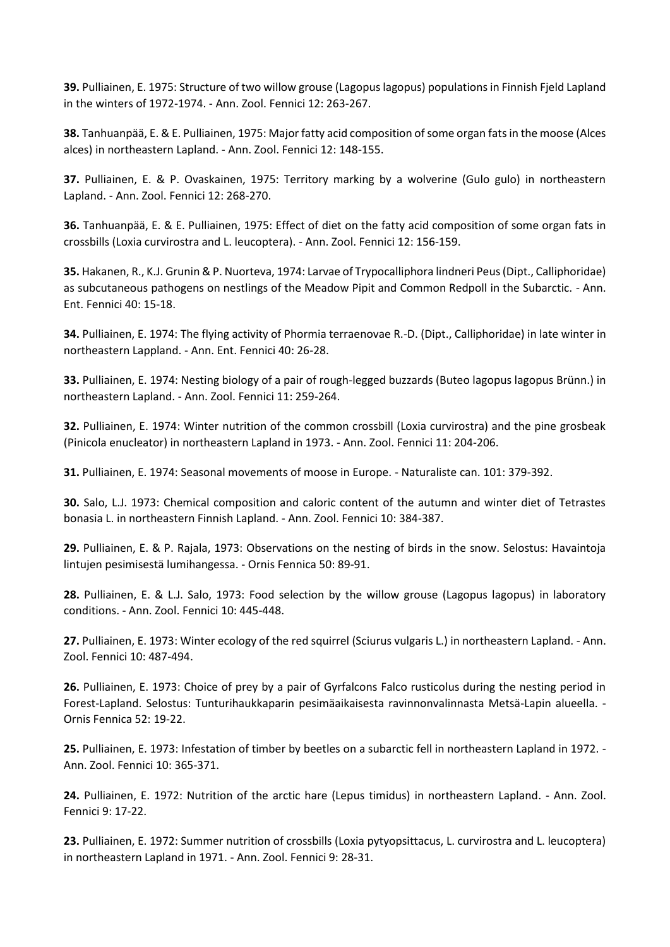**39.** Pulliainen, E. 1975: Structure of two willow grouse (Lagopus lagopus) populations in Finnish Fjeld Lapland in the winters of 1972-1974. - Ann. Zool. Fennici 12: 263-267.

**38.** Tanhuanpää, E. & E. Pulliainen, 1975: Major fatty acid composition of some organ fats in the moose (Alces alces) in northeastern Lapland. - Ann. Zool. Fennici 12: 148-155.

**37.** Pulliainen, E. & P. Ovaskainen, 1975: Territory marking by a wolverine (Gulo gulo) in northeastern Lapland. - Ann. Zool. Fennici 12: 268-270.

**36.** Tanhuanpää, E. & E. Pulliainen, 1975: Effect of diet on the fatty acid composition of some organ fats in crossbills (Loxia curvirostra and L. leucoptera). - Ann. Zool. Fennici 12: 156-159.

**35.** Hakanen, R., K.J. Grunin & P. Nuorteva, 1974: Larvae of Trypocalliphora lindneri Peus (Dipt., Calliphoridae) as subcutaneous pathogens on nestlings of the Meadow Pipit and Common Redpoll in the Subarctic. - Ann. Ent. Fennici 40: 15-18.

**34.** Pulliainen, E. 1974: The flying activity of Phormia terraenovae R.-D. (Dipt., Calliphoridae) in late winter in northeastern Lappland. - Ann. Ent. Fennici 40: 26-28.

**33.** Pulliainen, E. 1974: Nesting biology of a pair of rough-legged buzzards (Buteo lagopus lagopus Brünn.) in northeastern Lapland. - Ann. Zool. Fennici 11: 259-264.

**32.** Pulliainen, E. 1974: Winter nutrition of the common crossbill (Loxia curvirostra) and the pine grosbeak (Pinicola enucleator) in northeastern Lapland in 1973. - Ann. Zool. Fennici 11: 204-206.

**31.** Pulliainen, E. 1974: Seasonal movements of moose in Europe. - Naturaliste can. 101: 379-392.

**30.** Salo, L.J. 1973: Chemical composition and caloric content of the autumn and winter diet of Tetrastes bonasia L. in northeastern Finnish Lapland. - Ann. Zool. Fennici 10: 384-387.

**29.** Pulliainen, E. & P. Rajala, 1973: Observations on the nesting of birds in the snow. Selostus: Havaintoja lintujen pesimisestä lumihangessa. - Ornis Fennica 50: 89-91.

**28.** Pulliainen, E. & L.J. Salo, 1973: Food selection by the willow grouse (Lagopus lagopus) in laboratory conditions. - Ann. Zool. Fennici 10: 445-448.

**27.** Pulliainen, E. 1973: Winter ecology of the red squirrel (Sciurus vulgaris L.) in northeastern Lapland. - Ann. Zool. Fennici 10: 487-494.

**26.** Pulliainen, E. 1973: Choice of prey by a pair of Gyrfalcons Falco rusticolus during the nesting period in Forest-Lapland. Selostus: Tunturihaukkaparin pesimäaikaisesta ravinnonvalinnasta Metsä-Lapin alueella. - Ornis Fennica 52: 19-22.

**25.** Pulliainen, E. 1973: Infestation of timber by beetles on a subarctic fell in northeastern Lapland in 1972. - Ann. Zool. Fennici 10: 365-371.

**24.** Pulliainen, E. 1972: Nutrition of the arctic hare (Lepus timidus) in northeastern Lapland. - Ann. Zool. Fennici 9: 17-22.

**23.** Pulliainen, E. 1972: Summer nutrition of crossbills (Loxia pytyopsittacus, L. curvirostra and L. leucoptera) in northeastern Lapland in 1971. - Ann. Zool. Fennici 9: 28-31.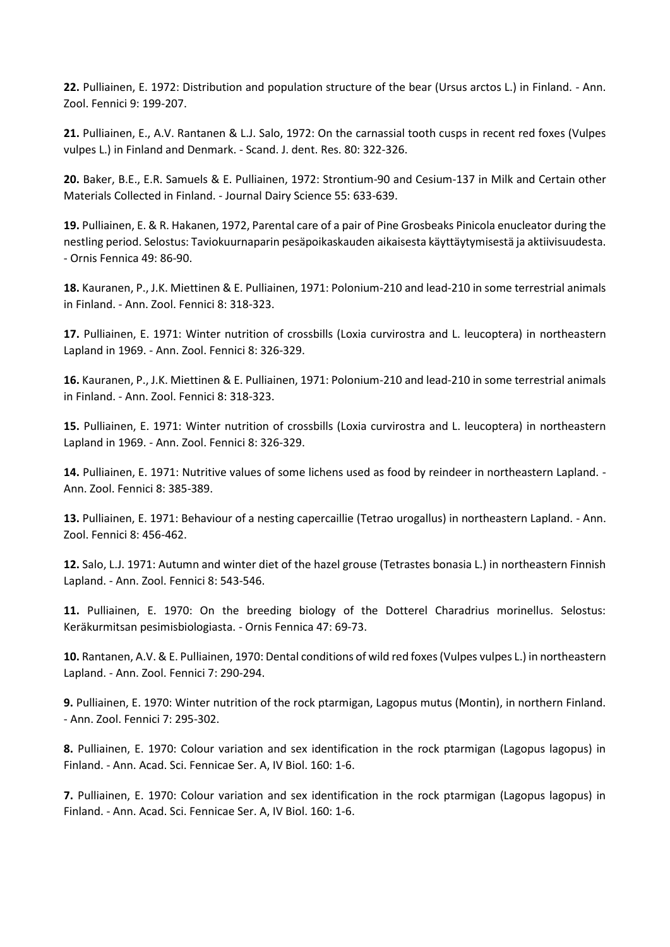**22.** Pulliainen, E. 1972: Distribution and population structure of the bear (Ursus arctos L.) in Finland. - Ann. Zool. Fennici 9: 199-207.

**21.** Pulliainen, E., A.V. Rantanen & L.J. Salo, 1972: On the carnassial tooth cusps in recent red foxes (Vulpes vulpes L.) in Finland and Denmark. - Scand. J. dent. Res. 80: 322-326.

**20.** Baker, B.E., E.R. Samuels & E. Pulliainen, 1972: Strontium-90 and Cesium-137 in Milk and Certain other Materials Collected in Finland. - Journal Dairy Science 55: 633-639.

**19.** Pulliainen, E. & R. Hakanen, 1972, Parental care of a pair of Pine Grosbeaks Pinicola enucleator during the nestling period. Selostus: Taviokuurnaparin pesäpoikaskauden aikaisesta käyttäytymisestä ja aktiivisuudesta. - Ornis Fennica 49: 86-90.

**18.** Kauranen, P., J.K. Miettinen & E. Pulliainen, 1971: Polonium-210 and lead-210 in some terrestrial animals in Finland. - Ann. Zool. Fennici 8: 318-323.

**17.** Pulliainen, E. 1971: Winter nutrition of crossbills (Loxia curvirostra and L. leucoptera) in northeastern Lapland in 1969. - Ann. Zool. Fennici 8: 326-329.

**16.** Kauranen, P., J.K. Miettinen & E. Pulliainen, 1971: Polonium-210 and lead-210 in some terrestrial animals in Finland. - Ann. Zool. Fennici 8: 318-323.

**15.** Pulliainen, E. 1971: Winter nutrition of crossbills (Loxia curvirostra and L. leucoptera) in northeastern Lapland in 1969. - Ann. Zool. Fennici 8: 326-329.

**14.** Pulliainen, E. 1971: Nutritive values of some lichens used as food by reindeer in northeastern Lapland. - Ann. Zool. Fennici 8: 385-389.

**13.** Pulliainen, E. 1971: Behaviour of a nesting capercaillie (Tetrao urogallus) in northeastern Lapland. - Ann. Zool. Fennici 8: 456-462.

**12.** Salo, L.J. 1971: Autumn and winter diet of the hazel grouse (Tetrastes bonasia L.) in northeastern Finnish Lapland. - Ann. Zool. Fennici 8: 543-546.

**11.** Pulliainen, E. 1970: On the breeding biology of the Dotterel Charadrius morinellus. Selostus: Keräkurmitsan pesimisbiologiasta. - Ornis Fennica 47: 69-73.

**10.** Rantanen, A.V. & E. Pulliainen, 1970: Dental conditions of wild red foxes (Vulpes vulpes L.) in northeastern Lapland. - Ann. Zool. Fennici 7: 290-294.

**9.** Pulliainen, E. 1970: Winter nutrition of the rock ptarmigan, Lagopus mutus (Montin), in northern Finland. - Ann. Zool. Fennici 7: 295-302.

**8.** Pulliainen, E. 1970: Colour variation and sex identification in the rock ptarmigan (Lagopus lagopus) in Finland. - Ann. Acad. Sci. Fennicae Ser. A, IV Biol. 160: 1-6.

**7.** Pulliainen, E. 1970: Colour variation and sex identification in the rock ptarmigan (Lagopus lagopus) in Finland. - Ann. Acad. Sci. Fennicae Ser. A, IV Biol. 160: 1-6.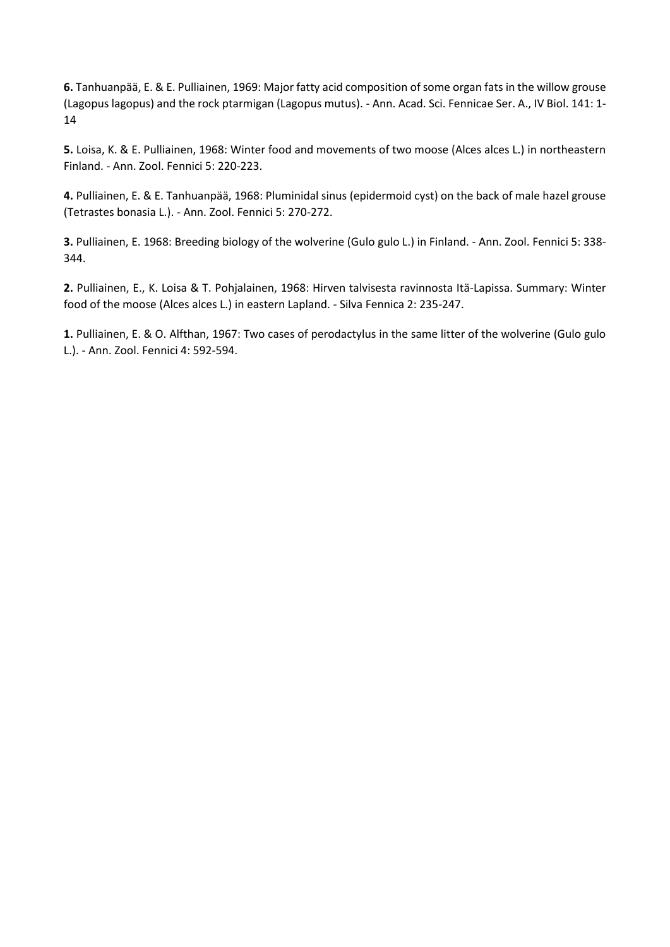**6.** Tanhuanpää, E. & E. Pulliainen, 1969: Major fatty acid composition of some organ fats in the willow grouse (Lagopus lagopus) and the rock ptarmigan (Lagopus mutus). - Ann. Acad. Sci. Fennicae Ser. A., IV Biol. 141: 1- 14

**5.** Loisa, K. & E. Pulliainen, 1968: Winter food and movements of two moose (Alces alces L.) in northeastern Finland. - Ann. Zool. Fennici 5: 220-223.

**4.** Pulliainen, E. & E. Tanhuanpää, 1968: Pluminidal sinus (epidermoid cyst) on the back of male hazel grouse (Tetrastes bonasia L.). - Ann. Zool. Fennici 5: 270-272.

**3.** Pulliainen, E. 1968: Breeding biology of the wolverine (Gulo gulo L.) in Finland. - Ann. Zool. Fennici 5: 338- 344.

**2.** Pulliainen, E., K. Loisa & T. Pohjalainen, 1968: Hirven talvisesta ravinnosta Itä-Lapissa. Summary: Winter food of the moose (Alces alces L.) in eastern Lapland. - Silva Fennica 2: 235-247.

**1.** Pulliainen, E. & O. Alfthan, 1967: Two cases of perodactylus in the same litter of the wolverine (Gulo gulo L.). - Ann. Zool. Fennici 4: 592-594.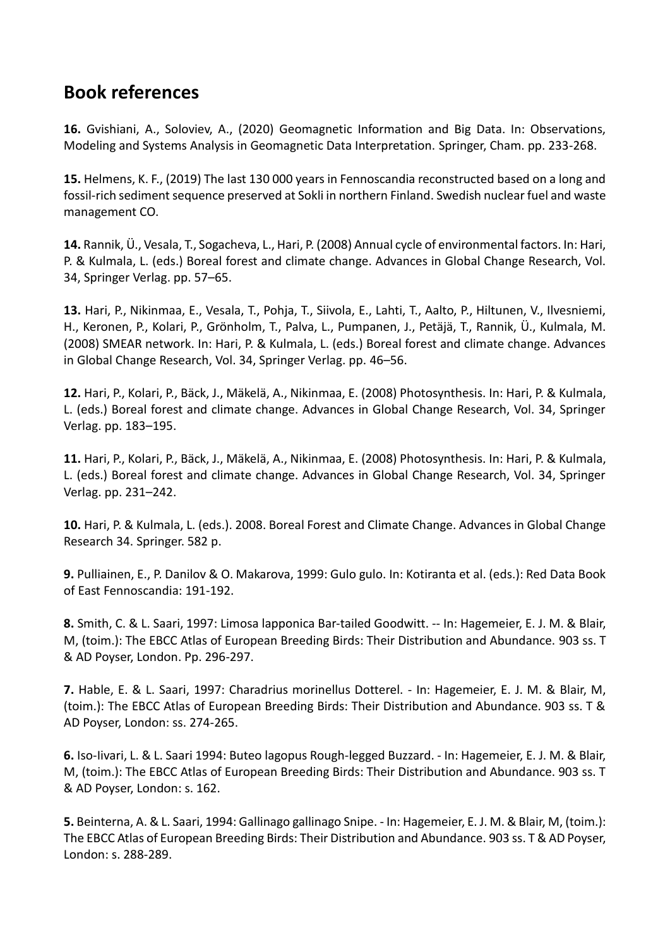## **Book references**

**16.** Gvishiani, A., Soloviev, A., (2020) Geomagnetic Information and Big Data. In: Observations, Modeling and Systems Analysis in Geomagnetic Data Interpretation. Springer, Cham. pp. 233‐268.

**15.** Helmens, K. F., (2019) The last 130 000 years in Fennoscandia reconstructed based on a long and fossil‐rich sediment sequence preserved at Sokli in northern Finland. Swedish nuclear fuel and waste management CO.

**14.** Rannik, Ü., Vesala, T., Sogacheva, L., Hari, P. (2008) Annual cycle of environmental factors. In: Hari, P. & Kulmala, L. (eds.) Boreal forest and climate change. Advances in Global Change Research, Vol. 34, Springer Verlag. pp. 57–65.

**13.** Hari, P., Nikinmaa, E., Vesala, T., Pohja, T., Siivola, E., Lahti, T., Aalto, P., Hiltunen, V., Ilvesniemi, H., Keronen, P., Kolari, P., Grönholm, T., Palva, L., Pumpanen, J., Petäjä, T., Rannik, Ü., Kulmala, M. (2008) SMEAR network. In: Hari, P. & Kulmala, L. (eds.) Boreal forest and climate change. Advances in Global Change Research, Vol. 34, Springer Verlag. pp. 46–56.

**12.** Hari, P., Kolari, P., Bäck, J., Mäkelä, A., Nikinmaa, E. (2008) Photosynthesis. In: Hari, P. & Kulmala, L. (eds.) Boreal forest and climate change. Advances in Global Change Research, Vol. 34, Springer Verlag. pp. 183–195.

**11.** Hari, P., Kolari, P., Bäck, J., Mäkelä, A., Nikinmaa, E. (2008) Photosynthesis. In: Hari, P. & Kulmala, L. (eds.) Boreal forest and climate change. Advances in Global Change Research, Vol. 34, Springer Verlag. pp. 231–242.

**10.** Hari, P. & Kulmala, L. (eds.). 2008. Boreal Forest and Climate Change. Advances in Global Change Research 34. Springer. 582 p.

**9.** Pulliainen, E., P. Danilov & O. Makarova, 1999: Gulo gulo. In: Kotiranta et al. (eds.): Red Data Book of East Fennoscandia: 191‐192.

**8.** Smith, C. & L. Saari, 1997: Limosa lapponica Bar‐tailed Goodwitt. ‐‐ In: Hagemeier, E. J. M. & Blair, M, (toim.): The EBCC Atlas of European Breeding Birds: Their Distribution and Abundance. 903 ss. T & AD Poyser, London. Pp. 296‐297.

**7.** Hable, E. & L. Saari, 1997: Charadrius morinellus Dotterel. ‐ In: Hagemeier, E. J. M. & Blair, M, (toim.): The EBCC Atlas of European Breeding Birds: Their Distribution and Abundance. 903 ss. T & AD Poyser, London: ss. 274‐265.

**6.** Iso‐Iivari, L. & L. Saari 1994: Buteo lagopus Rough‐legged Buzzard. ‐ In: Hagemeier, E. J. M. & Blair, M, (toim.): The EBCC Atlas of European Breeding Birds: Their Distribution and Abundance. 903 ss. T & AD Poyser, London: s. 162.

**5.** Beinterna, A. & L. Saari, 1994: Gallinago gallinago Snipe. ‐ In: Hagemeier, E. J. M. & Blair, M, (toim.): The EBCC Atlas of European Breeding Birds: Their Distribution and Abundance. 903 ss. T & AD Poyser, London: s. 288‐289.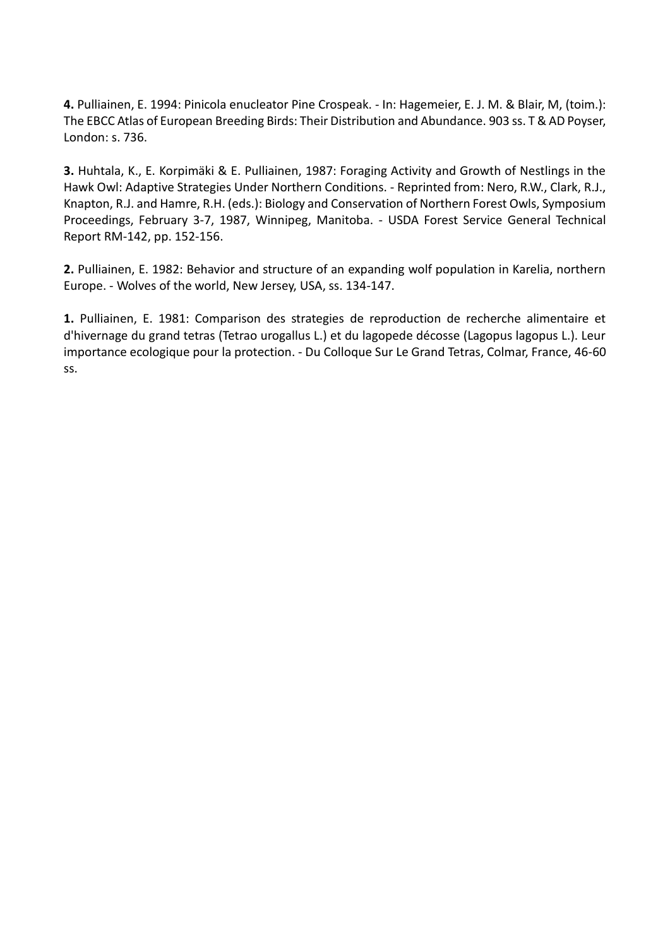**4.** Pulliainen, E. 1994: Pinicola enucleator Pine Crospeak. ‐ In: Hagemeier, E. J. M. & Blair, M, (toim.): The EBCC Atlas of European Breeding Birds: Their Distribution and Abundance. 903 ss. T & AD Poyser, London: s. 736.

**3.** Huhtala, K., E. Korpimäki & E. Pulliainen, 1987: Foraging Activity and Growth of Nestlings in the Hawk Owl: Adaptive Strategies Under Northern Conditions. ‐ Reprinted from: Nero, R.W., Clark, R.J., Knapton, R.J. and Hamre, R.H. (eds.): Biology and Conservation of Northern Forest Owls, Symposium Proceedings, February 3‐7, 1987, Winnipeg, Manitoba. ‐ USDA Forest Service General Technical Report RM‐142, pp. 152‐156.

**2.** Pulliainen, E. 1982: Behavior and structure of an expanding wolf population in Karelia, northern Europe. ‐ Wolves of the world, New Jersey, USA, ss. 134‐147.

**1.** Pulliainen, E. 1981: Comparison des strategies de reproduction de recherche alimentaire et d'hivernage du grand tetras (Tetrao urogallus L.) et du lagopede décosse (Lagopus lagopus L.). Leur importance ecologique pour la protection. ‐ Du Colloque Sur Le Grand Tetras, Colmar, France, 46‐60 ss.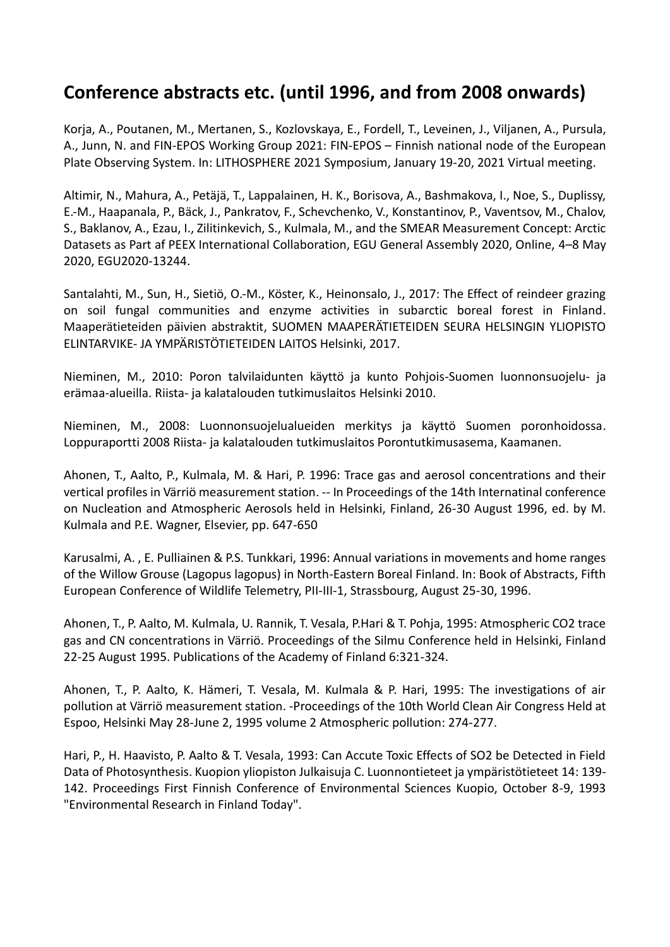## **Conference abstracts etc. (until 1996, and from 2008 onwards)**

Korja, A., Poutanen, M., Mertanen, S., Kozlovskaya, E., Fordell, T., Leveinen, J., Viljanen, A., Pursula, A., Junn, N. and FIN‐EPOS Working Group 2021: FIN‐EPOS – Finnish national node of the European Plate Observing System. In: LITHOSPHERE 2021 Symposium, January 19‐20, 2021 Virtual meeting.

Altimir, N., Mahura, A., Petäjä, T., Lappalainen, H. K., Borisova, A., Bashmakova, I., Noe, S., Duplissy, E.‐M., Haapanala, P., Bäck, J., Pankratov, F., Schevchenko, V., Konstantinov, P., Vaventsov, M., Chalov, S., Baklanov, A., Ezau, I., Zilitinkevich, S., Kulmala, M., and the SMEAR Measurement Concept: Arctic Datasets as Part af PEEX International Collaboration, EGU General Assembly 2020, Online, 4–8 May 2020, EGU2020‐13244.

Santalahti, M., Sun, H., Sietiö, O.‐M., Köster, K., Heinonsalo, J., 2017: The Effect of reindeer grazing on soil fungal communities and enzyme activities in subarctic boreal forest in Finland. Maaperätieteiden päivien abstraktit, SUOMEN MAAPERÄTIETEIDEN SEURA HELSINGIN YLIOPISTO ELINTARVIKE‐ JA YMPÄRISTÖTIETEIDEN LAITOS Helsinki, 2017.

Nieminen, M., 2010: Poron talvilaidunten käyttö ja kunto Pohjois‐Suomen luonnonsuojelu‐ ja erämaa‐alueilla. Riista‐ ja kalatalouden tutkimuslaitos Helsinki 2010.

Nieminen, M., 2008: Luonnonsuojelualueiden merkitys ja käyttö Suomen poronhoidossa. Loppuraportti 2008 Riista‐ ja kalatalouden tutkimuslaitos Porontutkimusasema, Kaamanen.

Ahonen, T., Aalto, P., Kulmala, M. & Hari, P. 1996: Trace gas and aerosol concentrations and their vertical profiles in Värriö measurement station. ‐‐ In Proceedings of the 14th Internatinal conference on Nucleation and Atmospheric Aerosols held in Helsinki, Finland, 26‐30 August 1996, ed. by M. Kulmala and P.E. Wagner, Elsevier, pp. 647‐650

Karusalmi, A. , E. Pulliainen & P.S. Tunkkari, 1996: Annual variations in movements and home ranges of the Willow Grouse (Lagopus lagopus) in North‐Eastern Boreal Finland. In: Book of Abstracts, Fifth European Conference of Wildlife Telemetry, PII‐III‐1, Strassbourg, August 25‐30, 1996.

Ahonen, T., P. Aalto, M. Kulmala, U. Rannik, T. Vesala, P.Hari & T. Pohja, 1995: Atmospheric CO2 trace gas and CN concentrations in Värriö. Proceedings of the Silmu Conference held in Helsinki, Finland 22‐25 August 1995. Publications of the Academy of Finland 6:321‐324.

Ahonen, T., P. Aalto, K. Hämeri, T. Vesala, M. Kulmala & P. Hari, 1995: The investigations of air pollution at Värriö measurement station. ‐Proceedings of the 10th World Clean Air Congress Held at Espoo, Helsinki May 28‐June 2, 1995 volume 2 Atmospheric pollution: 274‐277.

Hari, P., H. Haavisto, P. Aalto & T. Vesala, 1993: Can Accute Toxic Effects of SO2 be Detected in Field Data of Photosynthesis. Kuopion yliopiston Julkaisuja C. Luonnontieteet ja ympäristötieteet 14: 139‐ 142. Proceedings First Finnish Conference of Environmental Sciences Kuopio, October 8‐9, 1993 "Environmental Research in Finland Today".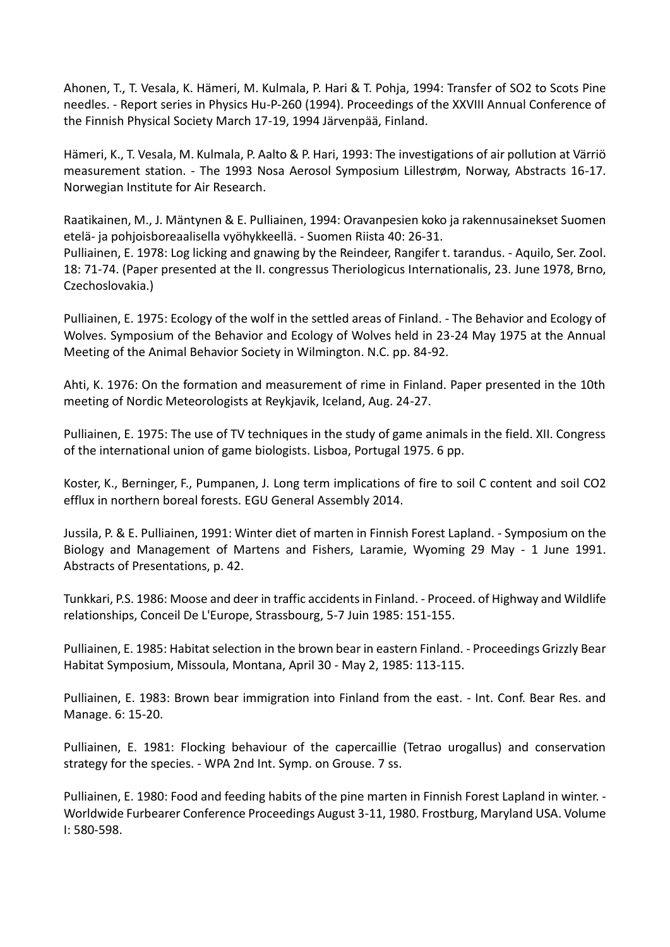Ahonen, T., T. Vesala, K. Hämeri, M. Kulmala, P. Hari & T. Pohja, 1994: Transfer of SO2 to Scots Pine needles. ‐ Report series in Physics Hu‐P‐260 (1994). Proceedings of the XXVIII Annual Conference of the Finnish Physical Society March 17‐19, 1994 Järvenpää, Finland.

Hämeri, K., T. Vesala, M. Kulmala, P. Aalto & P. Hari, 1993: The investigations of air pollution at Värriö measurement station. ‐ The 1993 Nosa Aerosol Symposium Lillestrøm, Norway, Abstracts 16‐17. Norwegian Institute for Air Research.

Raatikainen, M., J. Mäntynen & E. Pulliainen, 1994: Oravanpesien koko ja rakennusainekset Suomen etelä‐ ja pohjoisboreaalisella vyöhykkeellä. ‐ Suomen Riista 40: 26‐31.

Pulliainen, E. 1978: Log licking and gnawing by the Reindeer, Rangifer t. tarandus. ‐ Aquilo, Ser. Zool. 18: 71‐74. (Paper presented at the II. congressus Theriologicus Internationalis, 23. June 1978, Brno, Czechoslovakia.)

Pulliainen, E. 1975: Ecology of the wolf in the settled areas of Finland. ‐ The Behavior and Ecology of Wolves. Symposium of the Behavior and Ecology of Wolves held in 23‐24 May 1975 at the Annual Meeting of the Animal Behavior Society in Wilmington. N.C. pp. 84‐92.

Ahti, K. 1976: On the formation and measurement of rime in Finland. Paper presented in the 10th meeting of Nordic Meteorologists at Reykjavik, Iceland, Aug. 24‐27.

Pulliainen, E. 1975: The use of TV techniques in the study of game animals in the field. XII. Congress of the international union of game biologists. Lisboa, Portugal 1975. 6 pp.

Koster, K., Berninger, F., Pumpanen, J. Long term implications of fire to soil C content and soil CO2 efflux in northern boreal forests. EGU General Assembly 2014.

Jussila, P. & E. Pulliainen, 1991: Winter diet of marten in Finnish Forest Lapland. ‐ Symposium on the Biology and Management of Martens and Fishers, Laramie, Wyoming 29 May ‐ 1 June 1991. Abstracts of Presentations, p. 42.

Tunkkari, P.S. 1986: Moose and deer in traffic accidents in Finland. ‐ Proceed. of Highway and Wildlife relationships, Conceil De L'Europe, Strassbourg, 5‐7 Juin 1985: 151‐155.

Pulliainen, E. 1985: Habitat selection in the brown bear in eastern Finland. ‐ Proceedings Grizzly Bear Habitat Symposium, Missoula, Montana, April 30 ‐ May 2, 1985: 113‐115.

Pulliainen, E. 1983: Brown bear immigration into Finland from the east. ‐ Int. Conf. Bear Res. and Manage. 6: 15‐20.

Pulliainen, E. 1981: Flocking behaviour of the capercaillie (Tetrao urogallus) and conservation strategy for the species. ‐ WPA 2nd Int. Symp. on Grouse. 7 ss.

Pulliainen, E. 1980: Food and feeding habits of the pine marten in Finnish Forest Lapland in winter. ‐ Worldwide Furbearer Conference Proceedings August 3‐11, 1980. Frostburg, Maryland USA. Volume I: 580‐598.